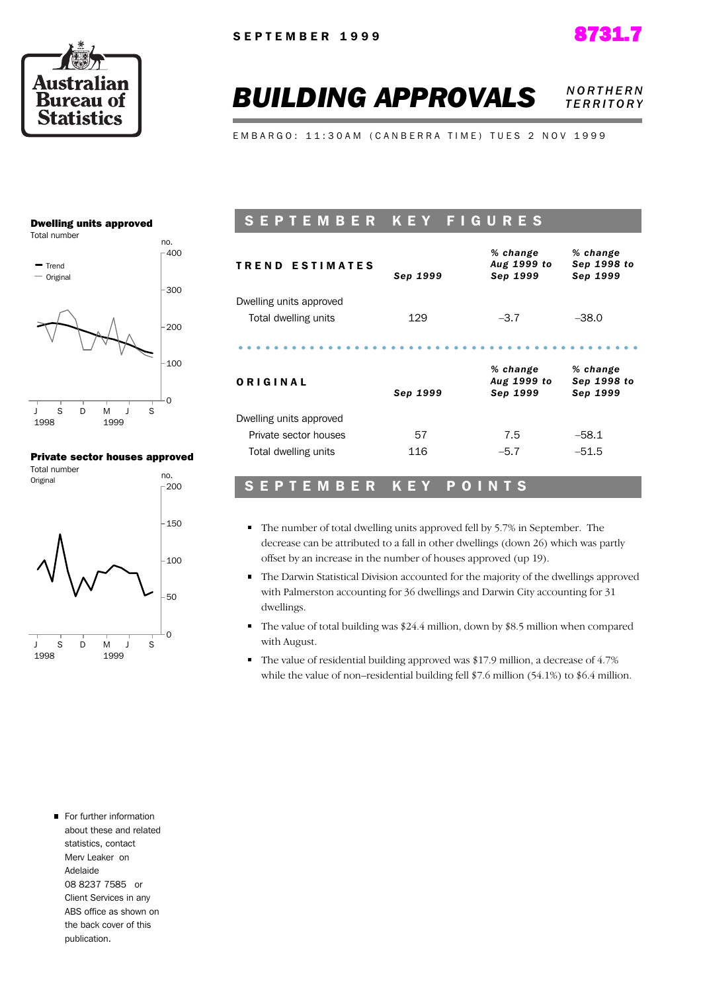



#### **BUILDING APPROVALS NORTHERN** *T E R R I T O R Y*

EMBARGO: 11:30AM (CANBERRA TIME) TUES 2 NOV 1999

#### Dwelling units approved



#### Private sector houses approved



#### SEPTEMBER KEY FIGURES

| <b>TREND ESTIMATES</b>  | Sep 1999 | % change<br>Aug 1999 to<br>Sep 1999 | % change<br>Sep 1998 to<br>Sep 1999 |
|-------------------------|----------|-------------------------------------|-------------------------------------|
| Dwelling units approved |          |                                     |                                     |
| Total dwelling units    | 129      | $-3.7$                              | $-38.0$                             |
|                         |          |                                     |                                     |
| ORIGINAL                | Sep 1999 | % change<br>Aug 1999 to<br>Sep 1999 | % change<br>Sep 1998 to<br>Sep 1999 |
| Dwelling units approved |          |                                     |                                     |
| Private sector houses   | 57       | 7.5                                 | $-58.1$                             |
| Total dwelling units    | 116      | $-5.7$                              | $-51.5$                             |

#### SEPTEMBER KEY POINTS

- The number of total dwelling units approved fell by 5.7% in September. The decrease can be attributed to a fall in other dwellings (down 26) which was partly offset by an increase in the number of houses approved (up 19).
- The Darwin Statistical Division accounted for the majority of the dwellings approved with Palmerston accounting for 36 dwellings and Darwin City accounting for 31 dwellings.
- The value of total building was \$24.4 million, down by \$8.5 million when compared with August.
- The value of residential building approved was \$17.9 million, a decrease of 4.7% while the value of non–residential building fell \$7.6 million (54.1%) to \$6.4 million.

For further information about these and related statistics, contact Merv Leaker on Adelaide 08 8237 7585 or Client Services in any ABS office as shown on the back cover of this publication.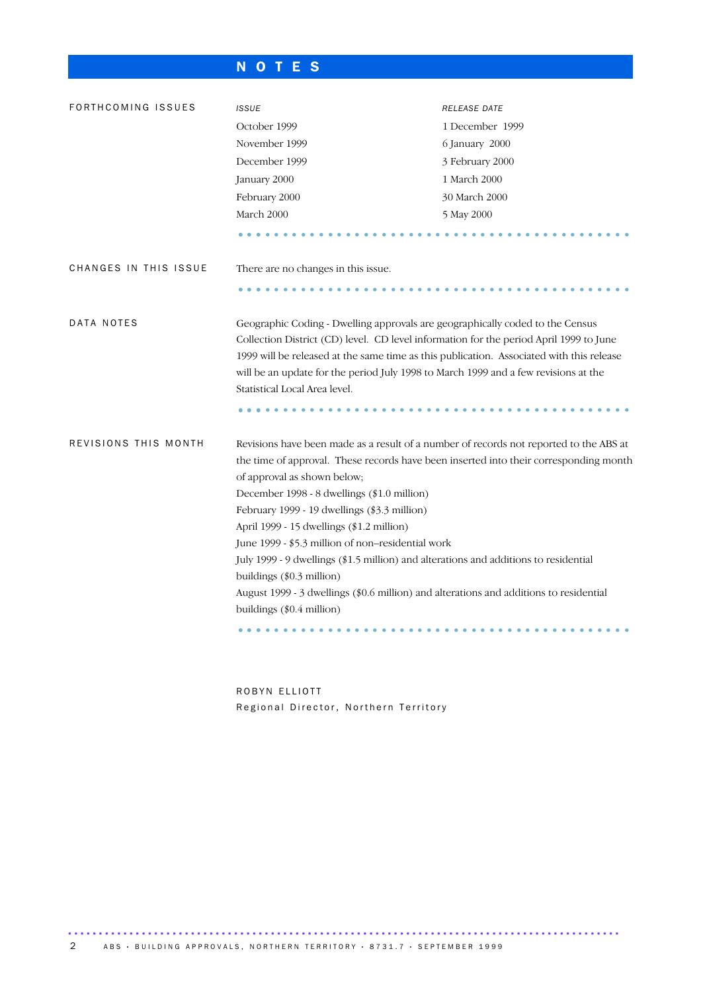## N O T E S

| FORTHCOMING ISSUES    | <b>ISSUE</b>                                                                                                                                                                                                                                                                                                                                                                                                                                                                                                                                                                                                                                                | RELEASE DATE    |  |  |  |
|-----------------------|-------------------------------------------------------------------------------------------------------------------------------------------------------------------------------------------------------------------------------------------------------------------------------------------------------------------------------------------------------------------------------------------------------------------------------------------------------------------------------------------------------------------------------------------------------------------------------------------------------------------------------------------------------------|-----------------|--|--|--|
|                       | October 1999                                                                                                                                                                                                                                                                                                                                                                                                                                                                                                                                                                                                                                                | 1 December 1999 |  |  |  |
|                       | November 1999                                                                                                                                                                                                                                                                                                                                                                                                                                                                                                                                                                                                                                               | 6 January 2000  |  |  |  |
|                       | December 1999                                                                                                                                                                                                                                                                                                                                                                                                                                                                                                                                                                                                                                               | 3 February 2000 |  |  |  |
|                       | January 2000                                                                                                                                                                                                                                                                                                                                                                                                                                                                                                                                                                                                                                                | 1 March 2000    |  |  |  |
|                       | February 2000                                                                                                                                                                                                                                                                                                                                                                                                                                                                                                                                                                                                                                               | 30 March 2000   |  |  |  |
|                       | March 2000                                                                                                                                                                                                                                                                                                                                                                                                                                                                                                                                                                                                                                                  | 5 May 2000      |  |  |  |
|                       |                                                                                                                                                                                                                                                                                                                                                                                                                                                                                                                                                                                                                                                             |                 |  |  |  |
| CHANGES IN THIS ISSUE | There are no changes in this issue.                                                                                                                                                                                                                                                                                                                                                                                                                                                                                                                                                                                                                         |                 |  |  |  |
|                       |                                                                                                                                                                                                                                                                                                                                                                                                                                                                                                                                                                                                                                                             |                 |  |  |  |
| DATA NOTES            | Geographic Coding - Dwelling approvals are geographically coded to the Census<br>Collection District (CD) level. CD level information for the period April 1999 to June<br>1999 will be released at the same time as this publication. Associated with this release<br>will be an update for the period July 1998 to March 1999 and a few revisions at the<br>Statistical Local Area level.                                                                                                                                                                                                                                                                 |                 |  |  |  |
|                       |                                                                                                                                                                                                                                                                                                                                                                                                                                                                                                                                                                                                                                                             |                 |  |  |  |
| REVISIONS THIS MONTH  | Revisions have been made as a result of a number of records not reported to the ABS at<br>the time of approval. These records have been inserted into their corresponding month<br>of approval as shown below;<br>December 1998 - 8 dwellings (\$1.0 million)<br>February 1999 - 19 dwellings (\$3.3 million)<br>April 1999 - 15 dwellings (\$1.2 million)<br>June 1999 - \$5.3 million of non-residential work<br>July 1999 - 9 dwellings (\$1.5 million) and alterations and additions to residential<br>buildings (\$0.3 million)<br>August 1999 - 3 dwellings (\$0.6 million) and alterations and additions to residential<br>buildings (\$0.4 million) |                 |  |  |  |

ROBYN ELLIOTT Regional Director, Northern Territory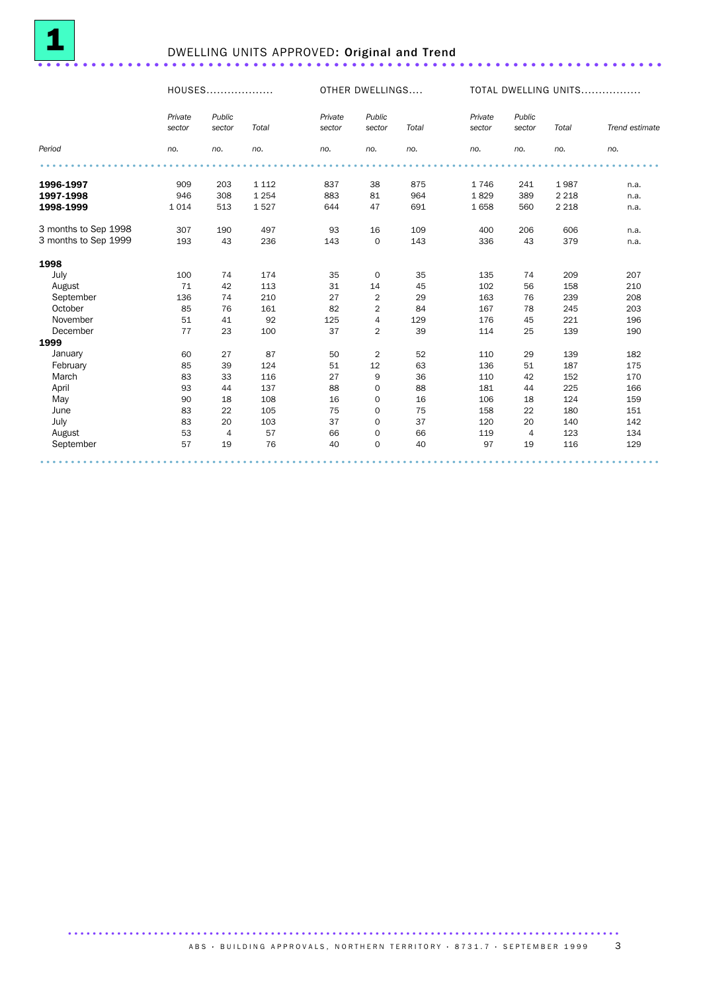

## <sup>1</sup> DWELLING UNITS APPROVED: Original and Trend ......................................................................

HOUSES................... OTHER DWELLINGS.... TOTAL DWELLING UNITS.................

|                      | Private<br>sector | Public<br>sector | Total   | Private<br>sector | Public<br>sector | Total | Private<br>sector | Public<br>sector | Total   | Trend estimate |
|----------------------|-------------------|------------------|---------|-------------------|------------------|-------|-------------------|------------------|---------|----------------|
| Period               | no.               | no.              | no.     | no.               | no.              | no.   | no.               | no.              | no.     | no.            |
|                      |                   |                  |         |                   |                  |       |                   |                  |         |                |
| 1996-1997            | 909               | 203              | 1 1 1 2 | 837               | 38               | 875   | 1746              | 241              | 1987    | n.a.           |
| 1997-1998            | 946               | 308              | 1 2 5 4 | 883               | 81               | 964   | 1829              | 389              | 2 2 1 8 | n.a.           |
| 1998-1999            | 1014              | 513              | 1527    | 644               | 47               | 691   | 1658              | 560              | 2 2 1 8 | n.a.           |
| 3 months to Sep 1998 | 307               | 190              | 497     | 93                | 16               | 109   | 400               | 206              | 606     | n.a.           |
| 3 months to Sep 1999 | 193               | 43               | 236     | 143               | $\mathbf 0$      | 143   | 336               | 43               | 379     | n.a.           |
| 1998                 |                   |                  |         |                   |                  |       |                   |                  |         |                |
| July                 | 100               | 74               | 174     | 35                | 0                | 35    | 135               | 74               | 209     | 207            |
| August               | 71                | 42               | 113     | 31                | 14               | 45    | 102               | 56               | 158     | 210            |
| September            | 136               | 74               | 210     | 27                | $\overline{2}$   | 29    | 163               | 76               | 239     | 208            |
| October              | 85                | 76               | 161     | 82                | $\overline{2}$   | 84    | 167               | 78               | 245     | 203            |
| November             | 51                | 41               | 92      | 125               | 4                | 129   | 176               | 45               | 221     | 196            |
| December             | 77                | 23               | 100     | 37                | 2                | 39    | 114               | 25               | 139     | 190            |
| 1999                 |                   |                  |         |                   |                  |       |                   |                  |         |                |
| January              | 60                | 27               | 87      | 50                | $\overline{2}$   | 52    | 110               | 29               | 139     | 182            |
| February             | 85                | 39               | 124     | 51                | 12               | 63    | 136               | 51               | 187     | 175            |
| March                | 83                | 33               | 116     | 27                | 9                | 36    | 110               | 42               | 152     | 170            |
| April                | 93                | 44               | 137     | 88                | $\mathbf 0$      | 88    | 181               | 44               | 225     | 166            |
| May                  | 90                | 18               | 108     | 16                | $\mathbf 0$      | 16    | 106               | 18               | 124     | 159            |
| June                 | 83                | 22               | 105     | 75                | $\mathbf 0$      | 75    | 158               | 22               | 180     | 151            |
| July                 | 83                | 20               | 103     | 37                | $\mathbf 0$      | 37    | 120               | 20               | 140     | 142            |
| August               | 53                | $\overline{4}$   | 57      | 66                | $\mathbf 0$      | 66    | 119               | $\overline{4}$   | 123     | 134            |
| September            | 57                | 19               | 76      | 40                | $\mathbf 0$      | 40    | 97                | 19               | 116     | 129            |
|                      |                   |                  |         |                   |                  |       |                   |                  |         |                |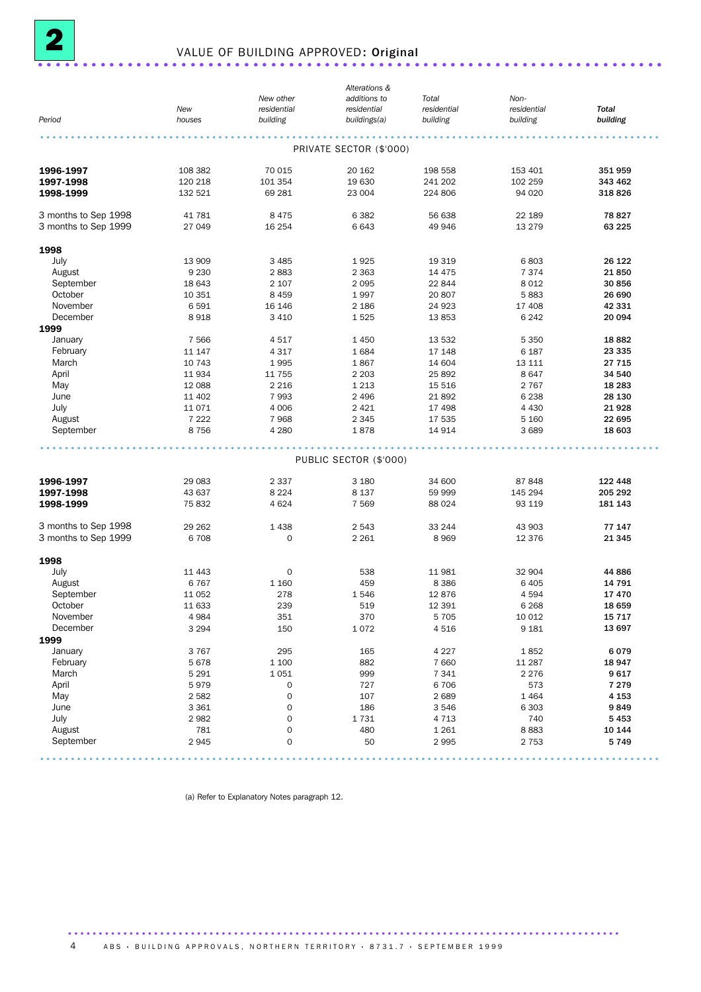

## <sup>2</sup> VALUE OF BUILDING APPROVED: Original ......................................................................

|                      |         |                     | Alterations &           |             |             |              |
|----------------------|---------|---------------------|-------------------------|-------------|-------------|--------------|
|                      |         | New other           | additions to            | Total       | Non-        |              |
|                      | New     | residential         | residential             | residential | residential | <b>Total</b> |
| Period               | houses  | building            | buildings(a)            | building    | building    | building     |
|                      |         |                     |                         |             |             |              |
|                      |         |                     | PRIVATE SECTOR (\$'000) |             |             |              |
| 1996-1997            | 108 382 | 70 015              | 20 162                  | 198 558     | 153 401     | 351 959      |
| 1997-1998            | 120 218 | 101 354             | 19 630                  | 241 202     | 102 259     | 343 462      |
| 1998-1999            | 132 521 | 69 281              | 23 004                  | 224 806     | 94 0 20     | 318 826      |
| 3 months to Sep 1998 | 41 781  | 8475                | 6382                    | 56 638      | 22 189      | 78 827       |
| 3 months to Sep 1999 | 27 049  | 16 254              | 6643                    | 49 946      | 13 2 7 9    | 63 225       |
| 1998                 |         |                     |                         |             |             |              |
| July                 | 13 909  | 3 4 8 5             | 1925                    | 19 319      | 6803        | 26 122       |
| August               | 9 2 3 0 | 2883                | 2 3 6 3                 | 14 4 7 5    | 7 3 7 4     | 21850        |
| September            | 18 643  | 2 107               | 2095                    | 22 844      | 8 0 1 2     | 30 856       |
| October              | 10 351  | 8 4 5 9             | 1997                    | 20 807      | 5883        | 26 690       |
| November             |         |                     |                         |             |             |              |
|                      | 6591    | 16 146              | 2 1 8 6                 | 24 9 23     | 17 408      | 42 331       |
| December             | 8918    | 3 4 1 0             | 1525                    | 13853       | 6 2 4 2     | 20 094       |
| 1999                 |         |                     |                         |             |             |              |
| January              | 7566    | 4517                | 1 4 5 0                 | 13 532      | 5 3 5 0     | 18882        |
| February             | 11 147  | 4 3 1 7             | 1684                    | 17 148      | 6 187       | 23 335       |
| March                | 10 743  | 1995                | 1867                    | 14 604      | 13 111      | 27 715       |
| April                | 11934   | 11 755              | 2 2 0 3                 | 25 892      | 8647        | 34 540       |
| May                  | 12 088  | 2 2 1 6             | 1 2 1 3                 | 15 516      | 2 7 6 7     | 18 283       |
| June                 | 11 402  | 7993                | 2 4 9 6                 | 21892       | 6 2 3 8     | 28 130       |
| July                 | 11071   | 4 0 0 6             | 2 4 2 1                 | 17 498      | 4 4 3 0     | 21928        |
| August               | 7 2 2 2 | 7968                | 2 3 4 5                 | 17 535      | 5 1 6 0     | 22 695       |
| September            | 8756    | 4 2 8 0             | 1878                    | 14 914      | 3689        | 18 603       |
|                      |         |                     |                         |             |             |              |
|                      |         |                     | PUBLIC SECTOR (\$'000)  |             |             |              |
| 1996-1997            | 29 083  | 2 3 3 7             | 3 1 8 0                 | 34 600      | 87 848      | 122 448      |
| 1997-1998            | 43 637  | 8 2 2 4             | 8 1 3 7                 | 59 999      | 145 294     | 205 292      |
| 1998-1999            | 75 832  | 4 6 2 4             | 7 5 6 9                 | 88 0 24     | 93 119      | 181 143      |
| 3 months to Sep 1998 | 29 262  | 1438                | 2543                    | 33 244      | 43 903      | 77 147       |
| 3 months to Sep 1999 | 6708    | $\mathbf 0$         | 2 2 6 1                 | 8969        | 12 376      | 21 345       |
| 1998                 |         |                     |                         |             |             |              |
| July                 | 11 443  | 0                   | 538                     | 11 981      | 32 904      | 44 886       |
| August               | 6767    | 1 1 6 0             | 459                     | 8 3 8 6     | 6 4 0 5     | 14 791       |
| September            | 11 052  | 278                 | 1546                    | 12876       | 4 5 9 4     | 17470        |
| October              | 11 633  | 239                 | 519                     | 12 3 9 1    | 6 2 6 8     | 18 659       |
| November             |         |                     |                         |             |             |              |
|                      | 4984    | 351                 | 370                     | 5 7 0 5     | 10 012      | 15 7 17      |
| December             | 3 2 9 4 | 150                 | 1072                    | 4516        | 9 1 8 1     | 13 697       |
| 1999                 |         |                     |                         |             |             |              |
| January              | 3767    | 295                 | 165                     | 4 2 2 7     | 1852        | 6079         |
| February             | 5678    | 1 100               | 882                     | 7 6 6 0     | 11 287      | 18 947       |
| March                | 5 2 9 1 | 1051                | 999                     | 7 3 4 1     | 2 2 7 6     | 9617         |
| April                | 5979    | $\mathbf 0$         | 727                     | 6 70 6      | 573         | 7 2 7 9      |
| May                  | 2582    | $\mathsf{O}\xspace$ | 107                     | 2689        | 1 4 6 4     | 4 1 5 3      |
| June                 | 3 3 6 1 | $\mathsf{O}\xspace$ | 186                     | 3546        | 6 3 0 3     | 9849         |
| July                 | 2982    | $\mathsf{O}\xspace$ | 1731                    | 4 7 1 3     | 740         | 5453         |
| August               | 781     | $\mathsf{O}\xspace$ | 480                     | 1 2 6 1     | 8883        | 10 144       |
| September            | 2945    | $\mathbf 0$         | 50                      | 2995        | 2 7 5 3     | 5749         |
|                      |         |                     |                         |             |             |              |

(a) Refer to Explanatory Notes paragraph 12.

A B S · BUILDING APPROVALS, NORTHERN TERRITORY · 8731.7 · SEPTEMBER 1999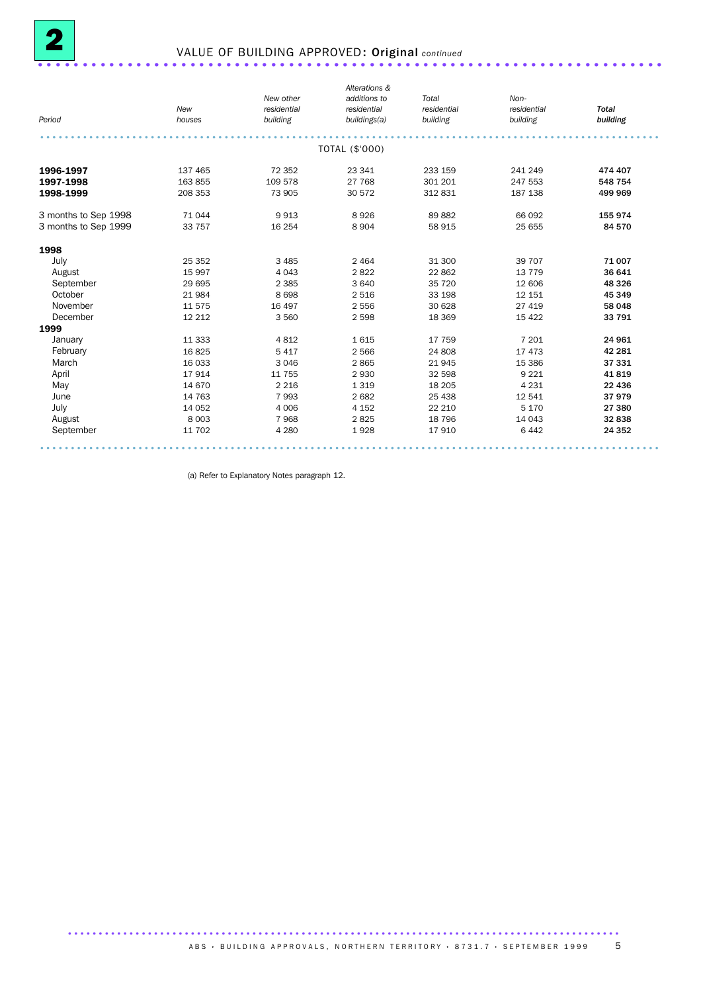

## 2 VALUE OF BUILDING APPROVED: Original *continued* ......................................................................

|                      |         |             | Alterations &  |             |             |              |
|----------------------|---------|-------------|----------------|-------------|-------------|--------------|
|                      |         | New other   | additions to   | Total       | Non-        |              |
|                      | New     | residential | residential    | residential | residential | <b>Total</b> |
| Period               | houses  | building    | buildings(a)   | building    | building    | building     |
|                      |         |             |                |             |             |              |
|                      |         |             | TOTAL (\$'000) |             |             |              |
| 1996-1997            | 137 465 | 72 352      | 23 341         | 233 159     | 241 249     | 474 407      |
| 1997-1998            | 163 855 | 109 578     | 27 768         | 301 201     | 247 553     | 548 754      |
| 1998-1999            | 208 353 | 73 905      | 30 572         | 312 831     | 187 138     | 499 969      |
| 3 months to Sep 1998 | 71 044  | 9913        | 8926           | 89882       | 66 092      | 155 974      |
| 3 months to Sep 1999 | 33 757  | 16 254      | 8 9 0 4        | 58 915      | 25 655      | 84 570       |
| 1998                 |         |             |                |             |             |              |
| July                 | 25 35 2 | 3 4 8 5     | 2 4 6 4        | 31 300      | 39 70 7     | 71 007       |
| August               | 15 997  | 4 0 4 3     | 2822           | 22 862      | 13 7 7 9    | 36 641       |
| September            | 29 695  | 2 3 8 5     | 3 6 4 0        | 35 720      | 12 606      | 48 326       |
| October              | 21984   | 8698        | 2 5 1 6        | 33 198      | 12 15 1     | 45 349       |
| November             | 11 575  | 16 497      | 2 5 5 6        | 30 628      | 27 419      | 58 048       |
| December             | 12 2 12 | 3 5 6 0     | 2 5 9 8        | 18 3 69     | 15 4 22     | 33 791       |
| 1999                 |         |             |                |             |             |              |
| January              | 11 3 33 | 4812        | 1615           | 17 759      | 7 201       | 24 961       |
| February             | 16825   | 5 4 1 7     | 2 5 6 6        | 24 808      | 17 473      | 42 281       |
| March                | 16 033  | 3 0 4 6     | 2865           | 21 945      | 15 3 86     | 37 331       |
| April                | 17914   | 11 755      | 2930           | 32 598      | 9 2 2 1     | 41819        |
| May                  | 14 670  | 2 2 1 6     | 1 3 1 9        | 18 20 5     | 4 2 3 1     | 22 4 36      |
| June                 | 14 763  | 7993        | 2 6 8 2        | 25 4 38     | 12 541      | 37979        |
| July                 | 14 0 52 | 4 0 0 6     | 4 1 5 2        | 22 210      | 5 1 7 0     | 27 380       |
| August               | 8 0 0 3 | 7968        | 2825           | 18 796      | 14 043      | 32 838       |
| September            | 11 702  | 4 2 8 0     | 1928           | 17 910      | 6 4 4 2     | 24 352       |

(a) Refer to Explanatory Notes paragraph 12.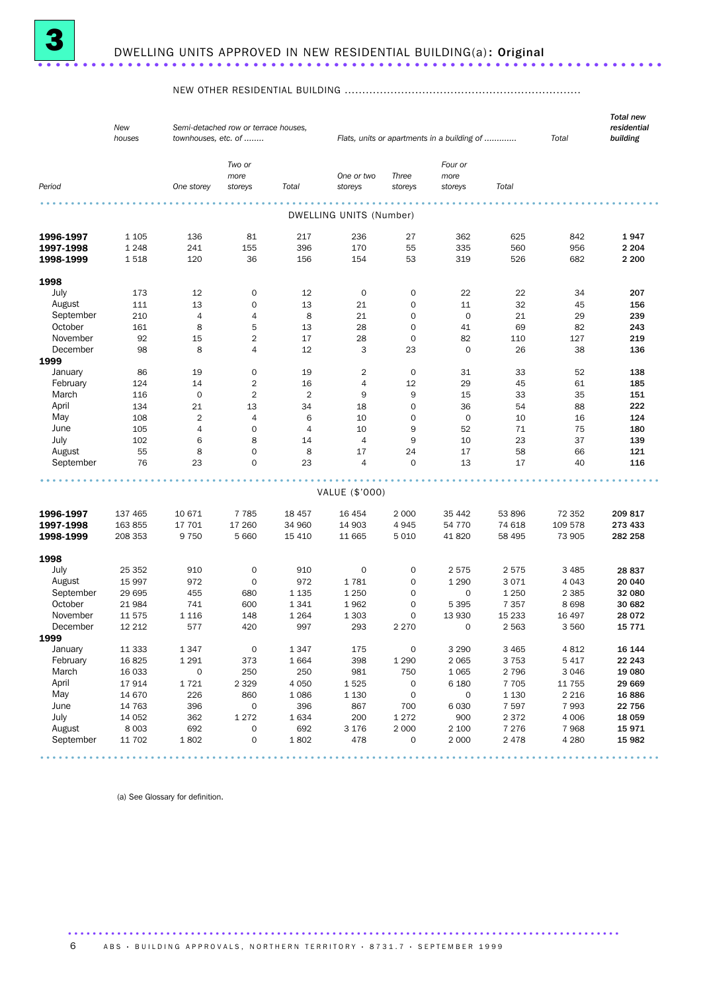

#### NEW OTHER RESIDENTIAL BUILDING ...................................................................

|           | New<br>houses | townhouses, etc. of | Semi-detached row or terrace houses, |                | Flats, units or apartments in a building of |                     | Total                      | <b>Total new</b><br>residential<br>building |          |          |
|-----------|---------------|---------------------|--------------------------------------|----------------|---------------------------------------------|---------------------|----------------------------|---------------------------------------------|----------|----------|
| Period    |               | One storey          | Two or<br>more<br>storeys            | Total          | One or two<br>storeys                       | Three<br>storeys    | Four or<br>more<br>storeys | Total                                       |          |          |
|           |               |                     |                                      |                |                                             |                     |                            |                                             |          |          |
|           |               |                     |                                      |                | DWELLING UNITS (Number)                     |                     |                            |                                             |          |          |
| 1996-1997 | 1 1 0 5       | 136                 | 81                                   | 217            | 236                                         | 27                  | 362                        | 625                                         | 842      | 1947     |
| 1997-1998 | 1 2 4 8       | 241                 | 155                                  | 396            | 170                                         | 55                  | 335                        | 560                                         | 956      | 2 2 0 4  |
| 1998-1999 | 1518          | 120                 | 36                                   | 156            | 154                                         | 53                  | 319                        | 526                                         | 682      | 2 2 0 0  |
| 1998      |               |                     |                                      |                |                                             |                     |                            |                                             |          |          |
| July      | 173           | 12                  | $\mathbf 0$                          | 12             | 0                                           | $\mathbf 0$         | 22                         | 22                                          | 34       | 207      |
| August    | 111           | 13                  | $\mathbf 0$                          | 13             | 21                                          | 0                   | 11                         | 32                                          | 45       | 156      |
| September | 210           | $\overline{4}$      | $\overline{4}$                       | 8              | 21                                          | $\mathbf 0$         | $\mathbf 0$                | 21                                          | 29       | 239      |
| October   | 161           | 8                   | 5                                    | 13             | 28                                          | $\mathbf 0$         | 41                         | 69                                          | 82       | 243      |
| November  | 92            | 15                  | $\overline{2}$                       | 17             | 28                                          | $\mathbf 0$         | 82                         | 110                                         | 127      | 219      |
| December  | 98            | 8                   | 4                                    | 12             | 3                                           | 23                  | $\mathbf 0$                | 26                                          | 38       | 136      |
| 1999      |               |                     |                                      |                |                                             |                     |                            |                                             |          |          |
| January   | 86            | 19                  | $\mathbf 0$                          | 19             | 2                                           | 0                   | 31                         | 33                                          | 52       | 138      |
| February  | 124           | 14                  | $\overline{2}$                       | 16             | $\overline{4}$                              | 12                  | 29                         | 45                                          | 61       | 185      |
| March     | 116           | $\mathbf 0$         | $\overline{2}$                       | 2              | 9                                           | $\boldsymbol{9}$    | 15                         | 33                                          | 35       | 151      |
| April     | 134           | 21                  | 13                                   | 34             | 18                                          | 0                   | 36                         | 54                                          | 88       | 222      |
| May       | 108           | $\overline{2}$      | $\overline{4}$                       | 6              | 10                                          | $\mathbf 0$         | $\mathbf 0$                | 10                                          | 16       | 124      |
| June      | 105           | $\overline{4}$      | $\mathbf 0$                          | $\overline{4}$ | 10                                          | 9                   | 52                         | 71                                          | 75       | 180      |
| July      | 102           | 6                   | 8                                    | 14             | $\overline{4}$                              | 9                   | 10                         | 23                                          | 37       | 139      |
| August    | 55            | 8                   | $\mathbf 0$                          | 8              | 17                                          | 24                  | 17                         | 58                                          | 66       | 121      |
| September | 76            | 23                  | $\Omega$                             | 23             | $\overline{4}$                              | $\Omega$            | 13                         | 17                                          | 40       | 116      |
|           |               |                     |                                      |                | VALUE (\$'000)                              |                     |                            |                                             |          |          |
|           |               |                     |                                      |                |                                             |                     |                            |                                             |          |          |
| 1996-1997 | 137 465       | 10 671              | 7 7 8 5                              | 18 457         | 16 4 54                                     | 2 0 0 0             | 35 442                     | 53 896                                      | 72 352   | 209817   |
| 1997-1998 | 163 855       | 17 701              | 17 260                               | 34 960         | 14 903                                      | 4945                | 54 7 7 0                   | 74 618                                      | 109 578  | 273 433  |
| 1998-1999 | 208 353       | 9 7 5 0             | 5 6 6 0                              | 15 4 10        | 11 665                                      | 5010                | 41 820                     | 58 495                                      | 73 905   | 282 258  |
| 1998      |               |                     |                                      |                |                                             |                     |                            |                                             |          |          |
| July      | 25 352        | 910                 | $\mathbf 0$                          | 910            | $\mathbf 0$                                 | $\mathbf 0$         | 2575                       | 2575                                        | 3 4 8 5  | 28 837   |
| August    | 15 997        | 972                 | 0                                    | 972            | 1781                                        | $\mathbf 0$         | 1 2 9 0                    | 3 0 7 1                                     | 4 0 4 3  | 20 040   |
| September | 29 695        | 455                 | 680                                  | 1 1 3 5        | 1 2 5 0                                     | $\mathbf 0$         | 0                          | 1 2 5 0                                     | 2 3 8 5  | 32 080   |
| October   | 21 984        | 741                 | 600                                  | 1341           | 1962                                        | 0                   | 5 3 9 5                    | 7 3 5 7                                     | 8698     | 30 682   |
| November  | 11 575        | 1 1 1 6             | 148                                  | 1 2 6 4        | 1 3 0 3                                     | 0                   | 13 930                     | 15 2 33                                     | 16 497   | 28 0 72  |
| December  | 12 212        | 577                 | 420                                  | 997            | 293                                         | 2 2 7 0             | 0                          | 2 5 6 3                                     | 3 5 6 0  | 15 7 7 1 |
| 1999      |               |                     |                                      |                |                                             |                     |                            |                                             |          |          |
| January   | 11 3 3 3      | 1347                | $\mathsf O$                          | 1347           | 175                                         | $\mathsf{O}\xspace$ | 3 2 9 0                    | 3 4 6 5                                     | 4812     | 16 144   |
| February  | 16825         | 1 2 9 1             | 373                                  | 1664           | 398                                         | 1 2 9 0             | 2 0 6 5                    | 3 7 5 3                                     | 5 4 1 7  | 22 243   |
| March     | 16 033        | $\mathsf{O}\xspace$ | 250                                  | 250            | 981                                         | 750                 | 1 0 6 5                    | 2 7 9 6                                     | 3 0 4 6  | 19 080   |
| April     | 17914         | 1721                | 2 3 2 9                              | 4 0 5 0        | 1525                                        | $\mathsf{O}\xspace$ | 6 1 8 0                    | 7 7 0 5                                     | 11 7 5 5 | 29 669   |
| May       | 14 670        | 226                 | 860                                  | 1086           | 1 1 3 0                                     | $\mathsf{O}\xspace$ | $\mathsf{O}\xspace$        | 1 1 3 0                                     | 2 2 1 6  | 16886    |
| June      | 14 763        | 396                 | $\mathsf{O}\xspace$                  | 396            | 867                                         | 700                 | 6 0 3 0                    | 7 5 9 7                                     | 7993     | 22 756   |
| July      | 14 0 52       | 362                 | 1 2 7 2                              | 1634           | 200                                         | 1272                | 900                        | 2 3 7 2                                     | 4 0 0 6  | 18 0 59  |
| August    | 8 0 0 3       | 692                 | $\mathsf{O}\xspace$                  | 692            | 3 1 7 6                                     | 2 0 0 0             | 2 100                      | 7 2 7 6                                     | 7968     | 15971    |
| September | 11 702        | 1802                | $\mathsf{O}\xspace$                  | 1802           | 478                                         | 0                   | 2 0 0 0                    | 2 4 7 8                                     | 4 2 8 0  | 15 982   |

(a) See Glossary for definition.

6 A B S · BUILDING APPROVALS, NORTHERN TERRITORY · 8731.7 · SEPTEMBER 1999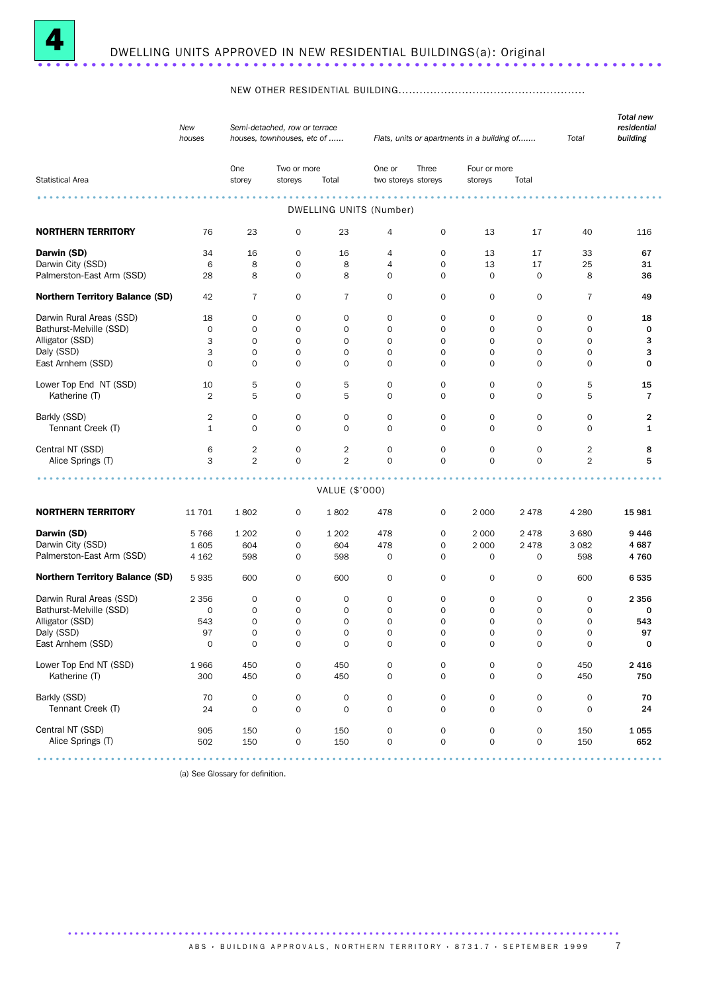

#### NEW OTHER RESIDENTIAL BUILDING.....................................................

|                                        | New<br>Semi-detached, row or terrace<br>houses<br>houses, townhouses, etc of |                     |             |                     |                         |                     | Flats, units or apartments in a building of |             | Total          | <b>Total new</b><br>residential<br>building |
|----------------------------------------|------------------------------------------------------------------------------|---------------------|-------------|---------------------|-------------------------|---------------------|---------------------------------------------|-------------|----------------|---------------------------------------------|
|                                        |                                                                              | One                 | Two or more |                     | One or                  | Three               | Four or more                                |             |                |                                             |
| <b>Statistical Area</b>                |                                                                              | storey              | storeys     | Total               | two storeys storeys     |                     | storeys                                     | Total       |                |                                             |
|                                        |                                                                              |                     |             |                     |                         |                     |                                             |             |                |                                             |
|                                        |                                                                              |                     |             |                     | DWELLING UNITS (Number) |                     |                                             |             |                |                                             |
| <b>NORTHERN TERRITORY</b>              | 76                                                                           | 23                  | 0           | 23                  | 4                       | 0                   | 13                                          | 17          | 40             | 116                                         |
| Darwin (SD)                            | 34                                                                           | 16                  | 0           | 16                  | 4                       | 0                   | 13                                          | 17          | 33             | 67                                          |
| Darwin City (SSD)                      | 6                                                                            | 8                   | 0           | 8                   | 4                       | $\mathbf 0$         | 13                                          | 17          | 25             | 31                                          |
| Palmerston-East Arm (SSD)              | 28                                                                           | 8                   | 0           | 8                   | 0                       | $\mathbf 0$         | $\mathbf 0$                                 | 0           | 8              | 36                                          |
| <b>Northern Territory Balance (SD)</b> | 42                                                                           | 7                   | 0           | 7                   | 0                       | 0                   | 0                                           | 0           | 7              | 49                                          |
| Darwin Rural Areas (SSD)               | 18                                                                           | $\mathbf 0$         | $\mathbf 0$ | $\mathbf 0$         | 0                       | 0                   | $\mathbf 0$                                 | 0           | 0              | 18                                          |
| Bathurst-Melville (SSD)                | $\mathbf 0$                                                                  | $\mathbf 0$         | $\mathbf 0$ | $\mathbf 0$         | 0                       | 0                   | $\mathbf 0$                                 | $\mathbf 0$ | 0              | 0                                           |
|                                        |                                                                              |                     |             |                     |                         |                     |                                             |             |                |                                             |
| Alligator (SSD)                        | 3                                                                            | 0                   | 0           | $\mathbf 0$         | 0                       | 0                   | 0                                           | 0           | 0              | з                                           |
| Daly (SSD)                             | 3                                                                            | $\mathbf 0$         | $\mathbf 0$ | $\mathbf 0$         | 0                       | $\mathbf 0$         | $\mathbf 0$                                 | 0           | 0              | з                                           |
| East Arnhem (SSD)                      | 0                                                                            | $\mathbf 0$         | $\mathbf 0$ | $\mathbf 0$         | 0                       | $\mathbf 0$         | 0                                           | 0           | 0              | 0                                           |
| Lower Top End NT (SSD)                 | 10                                                                           | 5                   | 0           | 5                   | 0                       | 0                   | 0                                           | 0           | 5              | 15                                          |
| Katherine (T)                          | $\overline{2}$                                                               | 5                   | $\mathbf 0$ | 5                   | $\mathbf 0$             | $\mathbf 0$         | $\mathbf 0$                                 | 0           | 5              | $\overline{7}$                              |
|                                        |                                                                              |                     |             |                     |                         |                     |                                             |             |                |                                             |
| Barkly (SSD)                           | 2                                                                            | $\mathbf 0$         | $\mathbf 0$ | 0                   | 0                       | 0                   | $\mathbf 0$                                 | 0           | $\mathbf{O}$   | 2                                           |
| Tennant Creek (T)                      | 1                                                                            | $\mathbf 0$         | $\mathbf 0$ | 0                   | 0                       | $\mathbf 0$         | $\mathbf 0$                                 | 0           | 0              | 1                                           |
| Central NT (SSD)                       | 6                                                                            | $\overline{2}$      | 0           | $\overline{2}$      | 0                       | 0                   | $\mathbf 0$                                 | 0           | 2              | 8                                           |
| Alice Springs (T)                      | 3                                                                            | 2                   | $\mathbf 0$ | 2                   | $\mathbf 0$             | $\mathbf 0$         | $\mathbf 0$                                 | $\mathbf 0$ | $\overline{2}$ | 5                                           |
|                                        |                                                                              |                     |             |                     |                         |                     |                                             |             |                |                                             |
|                                        |                                                                              |                     |             | VALUE (\$'000)      |                         |                     |                                             |             |                |                                             |
| <b>NORTHERN TERRITORY</b>              | 11 701                                                                       | 1802                | 0           | 1802                | 478                     | 0                   | 2 0 0 0                                     | 2478        | 4 2 8 0        | 15 981                                      |
| Darwin (SD)                            | 5766                                                                         | 1 2 0 2             | 0           | 1 202               | 478                     | 0                   | 2 0 0 0                                     | 2478        | 3680           | 9446                                        |
| Darwin City (SSD)                      | 1605                                                                         | 604                 | 0           | 604                 | 478                     | 0                   | 2 0 0 0                                     | 2478        | 3 0 8 2        | 4687                                        |
| Palmerston-East Arm (SSD)              | 4 1 6 2                                                                      | 598                 | 0           | 598                 | 0                       | $\mathbf 0$         | $\mathbf 0$                                 | 0           | 598            | 4760                                        |
| <b>Northern Territory Balance (SD)</b> | 5935                                                                         | 600                 | 0           | 600                 | 0                       | 0                   | 0                                           | 0           | 600            | 6535                                        |
| Darwin Rural Areas (SSD)               | 2 3 5 6                                                                      | $\mathbf 0$         | $\mathbf 0$ | 0                   | $\mathbf 0$             | 0                   | $\mathbf 0$                                 | 0           | 0              | 2 3 5 6                                     |
| Bathurst-Melville (SSD)                | 0                                                                            | 0                   | 0           | $\mathbf 0$         | 0                       | 0                   | 0                                           | 0           | 0              | 0                                           |
| Alligator (SSD)                        | 543                                                                          | 0                   | 0           | $\mathbf 0$         | 0                       | 0                   | 0                                           | 0           | 0              | 543                                         |
| Daly (SSD)                             |                                                                              |                     | $\mathbf 0$ | $\mathbf 0$         |                         | $\mathbf 0$         | $\mathbf 0$                                 | 0           |                |                                             |
|                                        | 97                                                                           | $\mathbf 0$         |             |                     | 0                       |                     |                                             |             | 0              | 97                                          |
| East Arnhem (SSD)                      | 0                                                                            |                     | 0           | 0                   |                         |                     |                                             |             | 0              |                                             |
| Lower Top End NT (SSD)                 | 1966                                                                         | 450                 | 0           | 450                 | 0                       | 0                   | $\mathsf{O}\xspace$                         | 0           | 450            | 2 4 1 6                                     |
| Katherine (T)                          | 300                                                                          | 450                 | 0           | 450                 | 0                       | $\mathsf{O}\xspace$ | $\mathbf 0$                                 | 0           | 450            | 750                                         |
| Barkly (SSD)                           | 70                                                                           | $\mathsf{O}\xspace$ | 0           | $\mathsf{O}\xspace$ | $\mathsf{O}\xspace$     | 0                   | $\mathsf{O}\xspace$                         | 0           | 0              | 70                                          |
| Tennant Creek (T)                      | 24                                                                           | $\mathsf{O}\xspace$ | 0           | $\mathbf 0$         | $\mathbf 0$             | $\mathbf 0$         | $\mathbf 0$                                 | $\mathbf 0$ | 0              | 24                                          |
|                                        |                                                                              |                     |             |                     |                         |                     |                                             |             |                |                                             |
| Central NT (SSD)                       | 905                                                                          | 150                 | 0           | 150                 | 0                       | $\mathsf{O}\xspace$ | $\mathsf{O}\xspace$                         | 0           | 150            | 1 0 5 5                                     |
| Alice Springs (T)                      | 502                                                                          | 150                 | 0           | 150                 | 0                       | $\mathsf{O}\xspace$ | $\mathbf 0$                                 | 0           | 150            | 652                                         |
|                                        |                                                                              |                     |             |                     |                         |                     |                                             |             |                |                                             |
|                                        |                                                                              |                     |             |                     |                         |                     |                                             |             |                |                                             |

(a) See Glossary for definition.

A B S · BUIL DIN G A P P ROVALS, NORTHERN TERRITORY · 8731.7 · SEPTEMBER 1999 7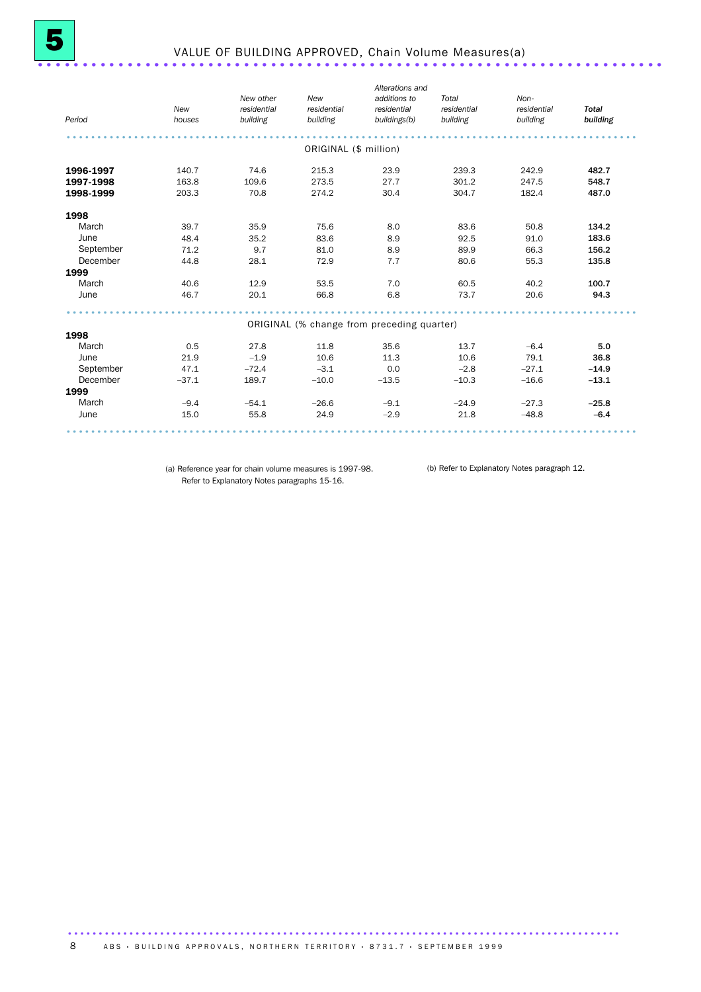| Period    | New<br>houses | New other<br>residential<br>building | New<br>residential<br>building | Alterations and<br>additions to<br>residential<br>buildings(b) | Total<br>residential<br>building | Non-<br>residential<br>building | <b>Total</b><br>building |
|-----------|---------------|--------------------------------------|--------------------------------|----------------------------------------------------------------|----------------------------------|---------------------------------|--------------------------|
|           |               |                                      | ORIGINAL (\$ million)          |                                                                |                                  |                                 |                          |
| 1996-1997 | 140.7         | 74.6                                 | 215.3                          | 23.9                                                           | 239.3                            | 242.9                           | 482.7                    |
| 1997-1998 | 163.8         | 109.6                                | 273.5                          | 27.7                                                           | 301.2                            | 247.5                           | 548.7                    |
| 1998-1999 | 203.3         | 70.8                                 | 274.2                          | 30.4                                                           | 304.7                            | 182.4                           | 487.0                    |
| 1998      |               |                                      |                                |                                                                |                                  |                                 |                          |
| March     | 39.7          | 35.9                                 | 75.6                           | 8.0                                                            | 83.6                             | 50.8                            | 134.2                    |
| June      | 48.4          | 35.2                                 | 83.6                           | 8.9                                                            | 92.5                             | 91.0                            | 183.6                    |
| September | 71.2          | 9.7                                  | 81.0                           | 8.9                                                            | 89.9                             | 66.3                            | 156.2                    |
| December  | 44.8          | 28.1                                 | 72.9                           | 7.7                                                            | 80.6                             | 55.3                            | 135.8                    |
| 1999      |               |                                      |                                |                                                                |                                  |                                 |                          |
| March     | 40.6          | 12.9                                 | 53.5                           | 7.0                                                            | 60.5                             | 40.2                            | 100.7                    |
| June      | 46.7          | 20.1                                 | 66.8                           | 6.8                                                            | 73.7                             | 20.6                            | 94.3                     |
|           |               |                                      |                                | ORIGINAL (% change from preceding quarter)                     |                                  |                                 |                          |
| 1998      |               |                                      |                                |                                                                |                                  |                                 |                          |
| March     | 0.5           | 27.8                                 | 11.8                           | 35.6                                                           | 13.7                             | $-6.4$                          | 5.0                      |
| June      | 21.9          | $-1.9$                               | 10.6                           | 11.3                                                           | 10.6                             | 79.1                            | 36.8                     |
| September | 47.1          | $-72.4$                              | $-3.1$                         | 0.0                                                            | $-2.8$                           | $-27.1$                         | $-14.9$                  |
| December  | $-37.1$       | 189.7                                | $-10.0$                        | $-13.5$                                                        | $-10.3$                          | $-16.6$                         | $-13.1$                  |
| 1999      |               |                                      |                                |                                                                |                                  |                                 |                          |
| March     | $-9.4$        | $-54.1$                              | $-26.6$                        | $-9.1$                                                         | $-24.9$                          | $-27.3$                         | $-25.8$                  |
| June      | 15.0          | 55.8                                 | 24.9                           | $-2.9$                                                         | 21.8                             | $-48.8$                         | $-6.4$                   |

(a) Reference year for chain volume measures is 1997-98. (b) Refer to Explanatory Notes paragraph 12.Refer to Explanatory Notes paragraphs 15-16.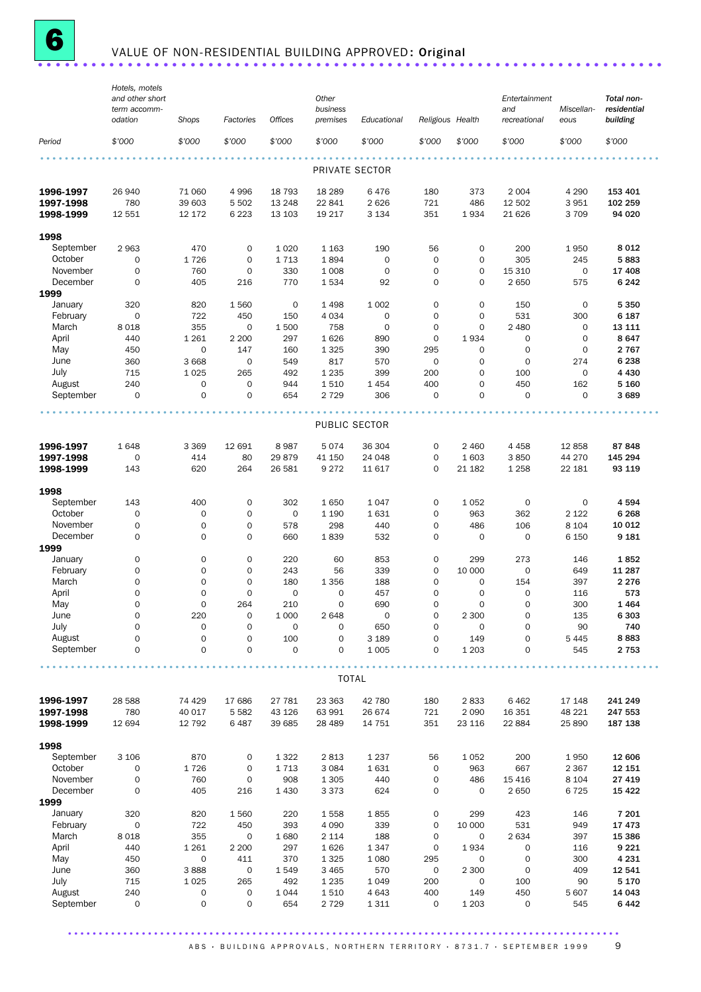

# **6** VALUE OF NON-RESIDENTIAL BUILDING APPROVED: Original ........................

|                        | Hotels, motels<br>and other short |                             |                   |                     | Other               |                     |                            |                    | Entertainment       |                    | Total non-        |
|------------------------|-----------------------------------|-----------------------------|-------------------|---------------------|---------------------|---------------------|----------------------------|--------------------|---------------------|--------------------|-------------------|
|                        | term accomm-                      |                             |                   |                     | business            |                     |                            |                    | and                 | Miscellan-         | residential       |
|                        | odation                           | Shops                       | Factories         | <b>Offices</b>      | premises            | Educational         | Religious Health           |                    | recreational        | eous               | building          |
| Period                 | \$'000                            | \$'000                      | \$'000            | \$'000              | \$'000              | \$'000              | \$'000                     | \$'000             | \$'000              | \$'000             | \$'000            |
|                        |                                   |                             |                   |                     | PRIVATE SECTOR      |                     |                            |                    |                     |                    |                   |
|                        |                                   |                             |                   |                     |                     |                     |                            |                    |                     |                    |                   |
| 1996-1997              | 26 940                            | 71 060                      | 4 9 9 6           | 18 793              | 18 2 89             | 6476                | 180                        | 373                | 2 0 0 4             | 4 2 9 0            | 153 401           |
| 1997-1998              | 780                               | 39 603                      | 5 5 0 2           | 13 248              | 22 841              | 2626                | 721<br>351                 | 486                | 12 502              | 3 9 5 1            | 102 259           |
| 1998-1999              | 12 551                            | 12 172                      | 6 2 2 3           | 13 103              | 19 217              | 3 1 3 4             |                            | 1934               | 21 6 26             | 3 7 0 9            | 94 0 20           |
| 1998                   |                                   |                             |                   |                     |                     |                     |                            |                    |                     |                    |                   |
| September              | 2963                              | 470                         | 0                 | 1 0 2 0             | 1 1 6 3             | 190                 | 56                         | 0                  | 200                 | 1950               | 8 0 1 2           |
| October                | $\mathsf{O}\xspace$               | 1726                        | 0                 | 1713                | 1894                | $\mathsf{O}\xspace$ | $\mathbf 0$                | $\mathbf 0$        | 305                 | 245                | 5883              |
| November               | 0                                 | 760                         | $\mathbf 0$       | 330                 | 1 0 0 8             | $\mathbf 0$         | $\mathbf 0$                | $\mathbf 0$        | 15 310              | $\mathbf 0$        | 17 408            |
| December<br>1999       | $\mathbf 0$                       | 405                         | 216               | 770                 | 1534                | 92                  | $\mathbf 0$                | $\mathbf 0$        | 2 6 5 0             | 575                | 6 2 4 2           |
| January                | 320                               | 820                         | 1560              | 0                   | 1 4 9 8             | 1 0 0 2             | $\mathbf 0$                | $\mathbf 0$        | 150                 | $\mathbf 0$        | 5 3 5 0           |
| February               | 0                                 | 722                         | 450               | 150                 | 4 0 3 4             | $\mathbf 0$         | $\mathbf 0$                | $\mathbf 0$        | 531                 | 300                | 6 187             |
| March                  | 8018                              | 355                         | 0                 | 1 500               | 758                 | $\mathbf 0$         | $\mathbf 0$                | $\mathbf 0$        | 2 4 8 0             | $\mathbf 0$        | 13 111            |
| April                  | 440                               | 1 2 6 1                     | 2 2 0 0           | 297                 | 1626                | 890                 | $\mathbf 0$                | 1934               | $\mathbf 0$         | $\mathbf 0$        | 8647              |
| May                    | 450                               | $\mathbf 0$                 | 147               | 160                 | 1 3 2 5             | 390                 | 295                        | $\mathbf 0$        | $\mathbf 0$         | $\mathbf 0$        | 2 7 6 7           |
| June                   | 360                               | 3 6 6 8                     | $\mathbf 0$       | 549                 | 817                 | 570                 | $\mathbf 0$                | 0                  | 0                   | 274                | 6 2 3 8           |
| July                   | 715                               | 1025                        | 265               | 492                 | 1 2 3 5             | 399                 | 200                        | $\Omega$           | 100                 | $\mathbf 0$        | 4 4 3 0           |
| August                 | 240                               | 0                           | 0                 | 944                 | 1510                | 1454                | 400                        | $\mathbf 0$        | 450                 | 162                | 5 1 6 0           |
| September              | $\mathbf 0$                       | 0                           | $\mathbf 0$       | 654                 | 2 7 2 9             | 306                 | $\mathbf 0$                | $\mathbf 0$        | $\mathbf 0$         | $\mathbf 0$        | 3 6 8 9           |
|                        |                                   |                             |                   |                     | PUBLIC SECTOR       |                     |                            |                    |                     |                    |                   |
|                        |                                   |                             |                   |                     |                     |                     |                            |                    |                     |                    |                   |
| 1996-1997              | 1648                              | 3 3 6 9                     | 12 691            | 8987                | 5074                | 36 304              | $\mathbf 0$<br>$\mathbf 0$ | 2 4 6 0            | 4 4 5 8             | 12858              | 87848             |
| 1997-1998<br>1998-1999 | 0<br>143                          | 414<br>620                  | 80<br>264         | 29 879<br>26 581    | 41 150<br>9 2 7 2   | 24 048<br>11 617    | $\mathbf 0$                | 1 603<br>21 182    | 3850<br>1 2 5 8     | 44 270<br>22 181   | 145 294<br>93 119 |
|                        |                                   |                             |                   |                     |                     |                     |                            |                    |                     |                    |                   |
| 1998                   |                                   |                             |                   |                     |                     |                     |                            |                    |                     |                    |                   |
| September              | 143                               | 400                         | 0                 | 302                 | 1650                | 1047                | $\mathbf 0$                | 1052               | 0                   | 0                  | 4 5 9 4           |
| October                | $\mathbf 0$                       | $\mathbf 0$                 | $\mathbf{O}$      | 0                   | 1 1 9 0             | 1631                | $\mathbf 0$                | 963                | 362                 | 2 1 2 2            | 6 2 6 8           |
| November<br>December   | $\mathbf 0$<br>$\mathbf 0$        | $\mathbf 0$<br>$\mathsf{O}$ | 0<br>$\mathbf{O}$ | 578<br>660          | 298<br>1839         | 440<br>532          | $\mathbf 0$<br>$\mathbf 0$ | 486<br>$\mathbf 0$ | 106<br>$\mathbf 0$  | 8 1 0 4<br>6 1 5 0 | 10 012<br>9 1 8 1 |
| 1999                   |                                   |                             |                   |                     |                     |                     |                            |                    |                     |                    |                   |
| January                | 0                                 | 0                           | 0                 | 220                 | 60                  | 853                 | $\mathbf 0$                | 299                | 273                 | 146                | 1852              |
| February               | 0                                 | 0                           | $\mathbf{O}$      | 243                 | 56                  | 339                 | $\mathbf 0$                | 10 000             | $\mathbf 0$         | 649                | 11 287            |
| March                  | 0                                 | $\mathbf 0$                 | 0                 | 180                 | 1 3 5 6             | 188                 | $\mathbf 0$                | $\mathbf 0$        | 154                 | 397                | 2 2 7 6           |
| April                  | $\mathbf 0$                       | 0                           | 0                 | $\mathbf 0$         | $\mathbf 0$         | 457                 | 0                          | $\mathbf 0$        | 0                   | 116                | 573               |
| May                    | $\mathbf 0$                       | $\mathbf 0$                 | 264               | 210                 | $\mathbf 0$         | 690                 | $\mathbf 0$                | $\mathbf 0$        | $\Omega$            | 300                | 1464              |
| June                   | 0                                 | 220                         | U                 | 1 0 0 0             | 2 6 4 8             | 0                   | 0                          | 2 3 0 0            | 0                   | 135                | 6 3 0 3           |
| July                   | $\mathsf{O}\xspace$               | 0                           | 0                 | $\mathsf{O}\xspace$ | $\mathsf{O}\xspace$ | 650                 | $\mathbf 0$                | $\mathbf 0$        | $\mathsf{O}\xspace$ | 90                 | 740               |
| August                 | $\mathsf{O}\xspace$               | $\mathbf 0$                 | 0                 | 100                 | 0                   | 3 1 8 9             | $\mathbf 0$                | 149                | 0                   | 5 4 4 5            | 8883              |
| September              | 0                                 | 0                           | 0                 | 0                   | 0                   | 1 0 0 5             | 0                          | 1 2 0 3            | 0                   | 545                | 2 7 5 3           |
|                        |                                   |                             |                   |                     | <b>TOTAL</b>        |                     |                            |                    |                     |                    |                   |
| 1996-1997              | 28 5 88                           | 74 4 29                     | 17 686            | 27 781              | 23 363              | 42 780              | 180                        | 2833               | 6462                | 17 148             | 241 249           |
| 1997-1998              | 780                               | 40 017                      | 5 5 8 2           | 43 126              | 63 991              | 26 674              | 721                        | 2 0 9 0            | 16 351              | 48 221             | 247 553           |
| 1998-1999              | 12 694                            | 12 792                      | 6487              | 39 685              | 28 4 89             | 14 751              | 351                        | 23 116             | 22 884              | 25 890             | 187 138           |
| 1998                   |                                   |                             |                   |                     |                     |                     |                            |                    |                     |                    |                   |
| September              | 3 1 0 6                           | 870                         | $\mathsf O$       | 1 3 2 2             | 2813                | 1 2 3 7             | 56                         | 1 0 5 2            | 200                 | 1950               | 12 606            |
| October                | $\mathsf{O}\xspace$               | 1726                        | $\mathsf O$       | 1713                | 3 0 8 4             | 1631                | $\mathbf 0$                | 963                | 667                 | 2 3 6 7            | 12 151            |
| November               | 0                                 | 760                         | $\mathsf O$       | 908                 | 1 3 0 5             | 440                 | $\mathbf 0$                | 486                | 15 4 16             | 8 1 0 4            | 27 419            |
| December               | 0                                 | 405                         | 216               | 1 4 3 0             | 3 3 7 3             | 624                 | 0                          | $\mathbf 0$        | 2 6 5 0             | 6725               | 15 4 22           |
| 1999                   |                                   |                             |                   |                     |                     |                     |                            |                    |                     |                    |                   |
| January                | 320                               | 820                         | 1560              | 220                 | 1558                | 1855                | 0                          | 299                | 423                 | 146                | 7 201             |
| February               | 0                                 | 722                         | 450               | 393                 | 4 0 9 0             | 339                 | $\mathsf{O}\xspace$        | 10 000             | 531                 | 949                | 17473             |
| March                  | 8018                              | 355                         | 0                 | 1680                | 2 1 1 4             | 188                 | $\mathbf 0$                | 0                  | 2 6 3 4             | 397                | 15 386            |
| April                  | 440                               | 1 2 6 1                     | 2 2 0 0           | 297                 | 1626                | 1347                | $\mathsf{O}\xspace$        | 1934               | 0                   | 116                | 9 2 2 1           |
| May                    | 450                               | 0                           | 411               | 370                 | 1 3 2 5             | 1 0 8 0             | 295                        | 0                  | $\mathbf 0$         | 300                | 4 2 3 1           |
| June<br>July           | 360<br>715                        | 3888<br>1025                | $\mathsf O$       | 1549                | 3 4 6 5             | 570                 | $\mathbf 0$                | 2 300              | $\mathbf 0$         | 409                | 12 541<br>5 1 7 0 |
| August                 | 240                               | 0                           | 265<br>0          | 492<br>1 0 4 4      | 1 2 3 5<br>1510     | 1 0 4 9<br>4 6 4 3  | 200<br>400                 | $\mathbf 0$<br>149 | 100<br>450          | 90<br>5 607        | 14 043            |
| September              | $\mathbf 0$                       | 0                           | 0                 | 654                 | 2 7 2 9             | 1311                | 0                          | 1 2 0 3            | 0                   | 545                | 6442              |
|                        |                                   |                             |                   |                     |                     |                     |                            |                    |                     |                    |                   |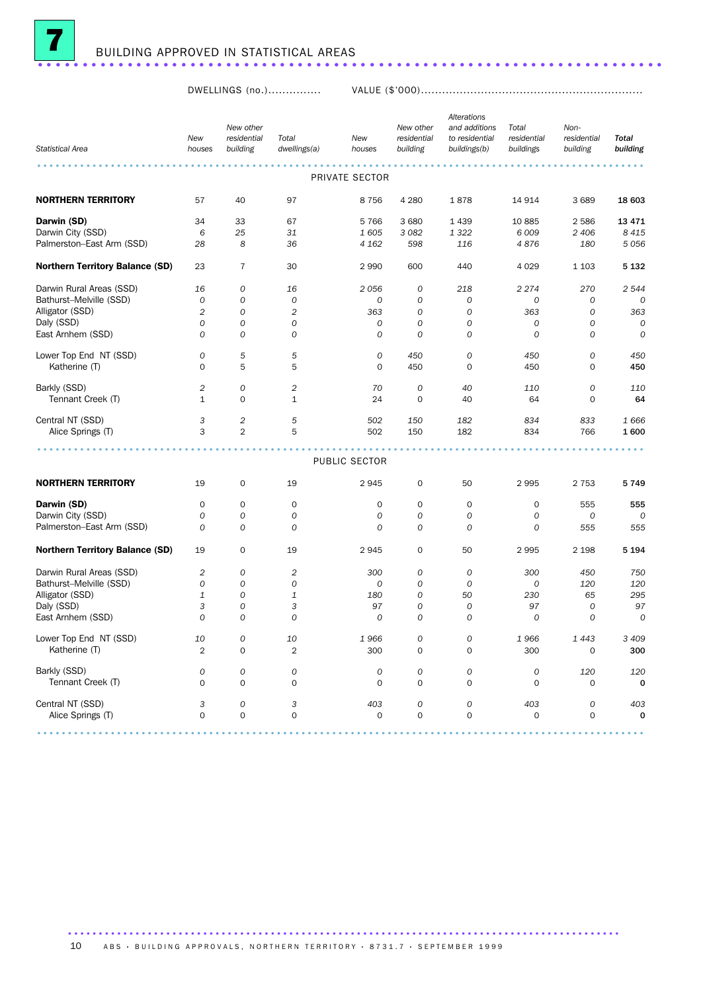

DWELLINGS (no.)............... VALUE (\$'000)...............................................................

|                                        |                |                     |                  |                  |             | Alterations    |               |                |                  |
|----------------------------------------|----------------|---------------------|------------------|------------------|-------------|----------------|---------------|----------------|------------------|
|                                        |                | New other           |                  |                  | New other   | and additions  | Total         | Non-           |                  |
|                                        | New            | residential         | Total            | New              | residential | to residential | residential   | residential    | <b>Total</b>     |
| <b>Statistical Area</b>                | houses         | building            | dwellings(a)     | houses           | building    | buildings(b)   | buildings     | building       | building         |
|                                        |                |                     |                  |                  |             |                |               |                |                  |
|                                        |                |                     |                  | PRIVATE SECTOR   |             |                |               |                |                  |
| <b>NORTHERN TERRITORY</b>              | 57             | 40                  | 97               | 8756             | 4 2 8 0     |                | 14 914        | 3689           | 18 603           |
|                                        |                |                     |                  |                  |             | 1878           |               |                |                  |
| Darwin (SD)                            | 34             | 33                  | 67               | 5766             | 3 6 8 0     | 1439           | 10885         | 2586           | 13 4 7 1         |
| Darwin City (SSD)                      | 6              | 25                  | 31               | 1605             | 3 0 8 2     | 1 3 2 2        | 6 0 0 9       | 2 4 0 6        | 8 4 1 5          |
| Palmerston-East Arm (SSD)              | 28             | 8                   | 36               | 4 1 6 2          | 598         | 116            | 4876          | 180            | 5056             |
| <b>Northern Territory Balance (SD)</b> | 23             | $\overline{7}$      | 30               | 2990             | 600         | 440            | 4 0 2 9       | 1 1 0 3        | 5 1 3 2          |
| Darwin Rural Areas (SSD)               | 16             | 0                   | 16               | 2056             | 0           | 218            | 2274          | 270            | 2 544            |
| Bathurst-Melville (SSD)                | 0              | $\mathcal{O}$       | $\boldsymbol{O}$ | $\boldsymbol{0}$ | 0           | 0              | 0             | 0              | 0                |
| Alligator (SSD)                        | $\overline{2}$ | 0                   | $\overline{c}$   | 363              | 0           | 0              | 363           | 0              | 363              |
|                                        |                |                     |                  |                  |             |                |               |                |                  |
| Daly (SSD)                             | 0              | 0                   | $\mathcal{O}$    | 0                | 0           | 0              | 0             | 0              | 0                |
| East Arnhem (SSD)                      | $\Omega$       | $\Omega$            | $\mathcal{O}$    | $\mathcal{O}$    | 0           | 0              | $\mathcal{O}$ | $\mathcal{O}$  | $\mathcal{O}$    |
| Lower Top End NT (SSD)                 | 0              | 5                   | 5                | 0                | 450         | 0              | 450           | 0              | 450              |
| Katherine (T)                          | 0              | 5                   | 5                | $\mathbf 0$      | 450         | 0              | 450           | 0              | 450              |
|                                        |                |                     |                  |                  |             |                |               |                |                  |
| Barkly (SSD)                           | 2              | 0                   | $\overline{c}$   | 70               | 0           | 40             | 110           | 0              | 110              |
| Tennant Creek (T)                      | $\mathbf{1}$   | $\mathbf 0$         | $\mathbf{1}$     | 24               | $\mathbf 0$ | 40             | 64            | 0              | 64               |
| Central NT (SSD)                       | 3              | $\overline{c}$      | 5                | 502              | 150         | 182            | 834           | 833            | 1666             |
| Alice Springs (T)                      | 3              | $\overline{2}$      | 5                | 502              | 150         | 182            | 834           | 766            | 1600             |
|                                        |                |                     |                  |                  |             |                |               |                |                  |
|                                        |                |                     |                  | PUBLIC SECTOR    |             |                |               |                |                  |
|                                        |                |                     |                  |                  |             |                |               |                |                  |
| <b>NORTHERN TERRITORY</b>              | 19             | $\mathbf 0$         | 19               | 2945             | 0           | 50             | 2995          | 2 7 5 3        | 5749             |
| Darwin (SD)                            | 0              | $\mathbf 0$         | 0                | 0                | 0           | 0              | $\mathbf 0$   | 555            | 555              |
| Darwin City (SSD)                      | 0              | 0                   | $\mathcal{O}$    | $\mathcal{O}$    | 0           | 0              | $\mathcal{O}$ | 0              | $\Omega$         |
| Palmerston-East Arm (SSD)              | $\overline{O}$ | $\mathcal{O}$       | $\mathcal{O}$    | $\mathcal{O}$    | $\cal O$    | 0              | $\mathcal{O}$ | 555            | 555              |
|                                        |                |                     |                  |                  |             |                |               |                |                  |
| Northern Territory Balance (SD)        | 19             | $\mathbf 0$         | 19               | 2945             | 0           | 50             | 2995          | 2 1 9 8        | 5 194            |
| Darwin Rural Areas (SSD)               | $\overline{c}$ | 0                   | $\overline{c}$   | 300              | 0           | 0              | 300           | 450            | 750              |
| Bathurst-Melville (SSD)                | 0              | $\mathcal{O}$       | 0                | 0                | 0           | 0              | 0             | 120            | 120              |
| Alligator (SSD)                        | 1              | $\mathcal{O}$       | $\mathbf{1}$     | 180              | 0           | 50             | 230           | 65             | 295              |
| Daly (SSD)                             | 3              | $\mathcal{O}$       | 3                | 97               | 0           | 0              | 97            | $\mathcal{O}$  | 97               |
|                                        |                |                     |                  |                  |             |                |               |                |                  |
| East Arnhem (SSD)                      | 0              | $\mathcal{O}$       | $\mathcal{O}$    | $\mathcal{O}$    | 0           | 0              | $\mathcal{O}$ | $\overline{O}$ | $\boldsymbol{0}$ |
| Lower Top End NT (SSD)                 | 10             | 0                   | 10               | 1966             | 0           | 0              | 1966          | 1443           | 3 4 0 9          |
| Katherine (T)                          | $\overline{2}$ | $\mathbf 0$         | $\overline{2}$   | 300              | 0           | 0              | 300           | 0              | 300              |
| Barkly (SSD)                           | 0              | 0                   | $\cal O$         | ${\cal O}$       | 0           | 0              | 0             | 120            | 120              |
| Tennant Creek (T)                      | $\Omega$       | $\mathsf{O}\xspace$ | 0                | $\mathbf 0$      | 0           | 0              | $\mathbf 0$   | 0              | $\mathbf 0$      |
| Central NT (SSD)                       | 3              | 0                   | 3                | 403              | 0           | 0              | 403           | 0              | 403              |
| Alice Springs (T)                      | $\mathbf 0$    | $\mathbf 0$         | $\mathbf 0$      | $\mathbf 0$      | $\mathbf 0$ | 0              | $\mathbf 0$   | $\mathbf 0$    | 0                |
|                                        |                |                     |                  |                  |             |                |               |                |                  |
|                                        |                |                     |                  |                  |             |                |               |                |                  |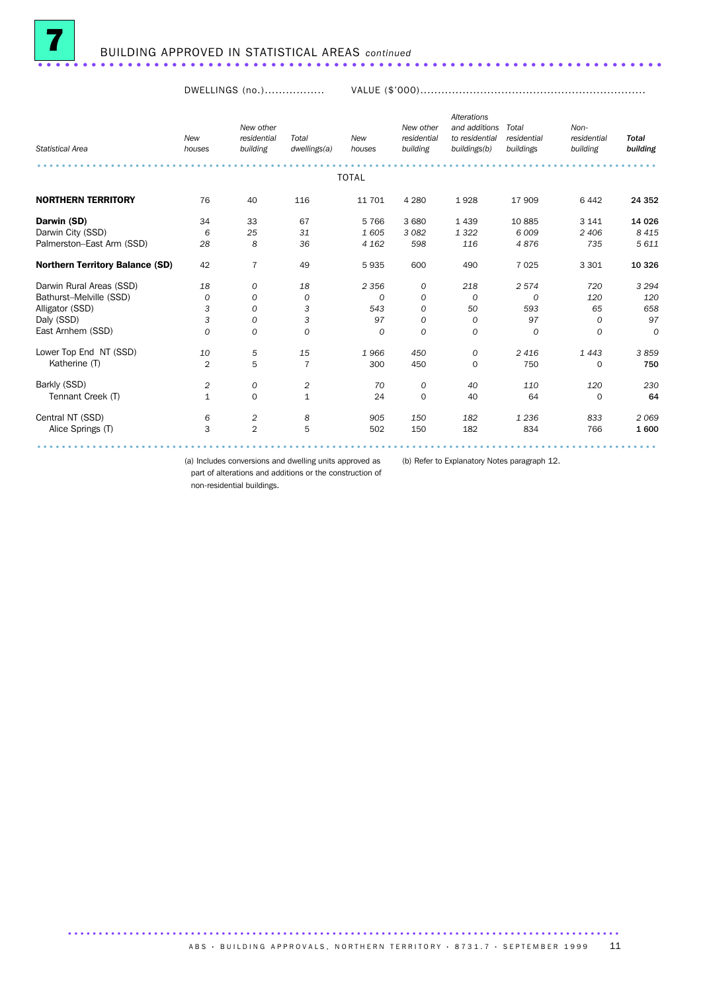

DWELLINGS (no.)................. VALUE (\$'000)................................................................

| <b>Statistical Area</b>                | <b>New</b><br>houses | New other<br>residential<br>building | Total<br>dwellings(a) | <b>New</b><br>houses | New other<br>residential<br>building | <b>Alterations</b><br>and additions<br>to residential<br>buildings(b) | Total<br>residential<br>buildings | Non-<br>residential<br>building | <b>Total</b><br>building |
|----------------------------------------|----------------------|--------------------------------------|-----------------------|----------------------|--------------------------------------|-----------------------------------------------------------------------|-----------------------------------|---------------------------------|--------------------------|
|                                        |                      |                                      |                       | <b>TOTAL</b>         |                                      |                                                                       |                                   |                                 |                          |
| <b>NORTHERN TERRITORY</b>              | 76                   | 40                                   | 116                   | 11 701               | 4 2 8 0                              | 1928                                                                  | 17 909                            | 6 4 4 2                         | 24 352                   |
| Darwin (SD)                            | 34                   | 33                                   | 67                    | 5766                 | 3 6 8 0                              | 1 4 3 9                                                               | 10885                             | 3 1 4 1                         | 14 0 26                  |
| Darwin City (SSD)                      | 6                    | 25                                   | 31                    | 1605                 | 3 0 8 2                              | 1322                                                                  | 6009                              | 2 4 0 6                         | 8 4 1 5                  |
| Palmerston-East Arm (SSD)              | 28                   | 8                                    | 36                    | 4 1 6 2              | 598                                  | 116                                                                   | 4876                              | 735                             | 5 611                    |
| <b>Northern Territory Balance (SD)</b> | 42                   | $\overline{7}$                       | 49                    | 5935                 | 600                                  | 490                                                                   | 7025                              | 3 3 0 1                         | 10 3 26                  |
| Darwin Rural Areas (SSD)               | 18                   | 0                                    | 18                    | 2 3 5 6              | 0                                    | 218                                                                   | 2574                              | 720                             | 3 2 9 4                  |
| Bathurst-Melville (SSD)                | $\Omega$             | 0                                    | 0                     | 0                    | 0                                    | $\Omega$                                                              | $\Omega$                          | 120                             | 120                      |
| Alligator (SSD)                        | 3                    | $\mathcal{O}$                        | 3                     | 543                  | 0                                    | 50                                                                    | 593                               | 65                              | 658                      |
| Daly (SSD)                             | 3                    | 0                                    | 3                     | 97                   | 0                                    | 0                                                                     | 97                                | 0                               | 97                       |
| East Arnhem (SSD)                      | $\Omega$             | $\mathcal{O}$                        | $\Omega$              | $\Omega$             | $\Omega$                             | $\Omega$                                                              | $\Omega$                          | $\Omega$                        | $\overline{O}$           |
| Lower Top End NT (SSD)                 | 10                   | 5                                    | 15                    | 1966                 | 450                                  | 0                                                                     | 2416                              | 1443                            | 3859                     |
| Katherine (T)                          | $\overline{2}$       | 5                                    | 7                     | 300                  | 450                                  | 0                                                                     | 750                               | $\mathbf 0$                     | 750                      |
| Barkly (SSD)                           | 2                    | 0                                    | 2                     | 70                   | 0                                    | 40                                                                    | 110                               | 120                             | 230                      |
| Tennant Creek (T)                      | $\mathbf{1}$         | $\mathbf 0$                          | $\mathbf{1}$          | 24                   | $\mathbf 0$                          | 40                                                                    | 64                                | $\Omega$                        | 64                       |
| Central NT (SSD)                       | 6                    | 2                                    | 8                     | 905                  | 150                                  | 182                                                                   | 1 2 3 6                           | 833                             | 2069                     |
| Alice Springs (T)                      | 3                    | $\overline{2}$                       | 5                     | 502                  | 150                                  | 182                                                                   | 834                               | 766                             | 1600                     |
|                                        |                      |                                      |                       |                      |                                      |                                                                       |                                   |                                 |                          |

(a) Includes conversions and dwelling units approved as (b) Refer to Explanatory Notes paragraph 12.

part of alterations and additions or the construction of

non-residential buildings.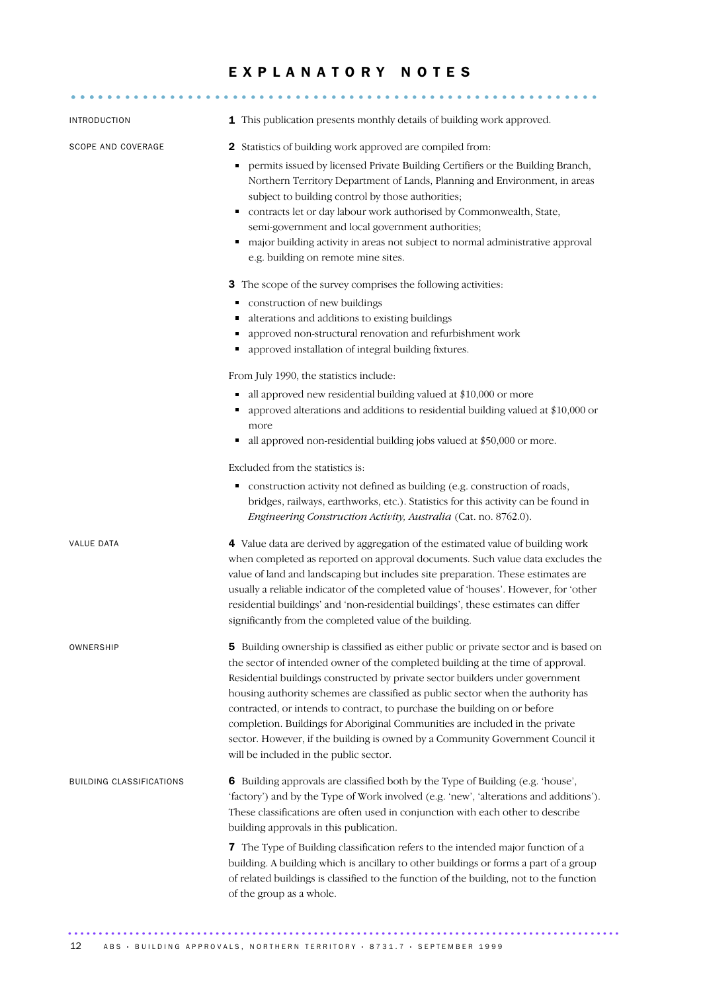#### EXPLANATORY NOTES

........................................................... .....

| <b>INTRODUCTION</b>      | 1 This publication presents monthly details of building work approved.                                                                                                                                                                                                                                                                                                                                                                                                                                                                                                                                                                 |
|--------------------------|----------------------------------------------------------------------------------------------------------------------------------------------------------------------------------------------------------------------------------------------------------------------------------------------------------------------------------------------------------------------------------------------------------------------------------------------------------------------------------------------------------------------------------------------------------------------------------------------------------------------------------------|
| SCOPE AND COVERAGE       | <b>2</b> Statistics of building work approved are compiled from:<br>permits issued by licensed Private Building Certifiers or the Building Branch,<br>٠<br>Northern Territory Department of Lands, Planning and Environment, in areas<br>subject to building control by those authorities;<br>contracts let or day labour work authorised by Commonwealth, State,<br>٠<br>semi-government and local government authorities;<br>major building activity in areas not subject to normal administrative approval<br>٠<br>e.g. building on remote mine sites.                                                                              |
|                          | 3 The scope of the survey comprises the following activities:<br>construction of new buildings<br>alterations and additions to existing buildings<br>٠<br>approved non-structural renovation and refurbishment work<br>• approved installation of integral building fixtures.                                                                                                                                                                                                                                                                                                                                                          |
|                          | From July 1990, the statistics include:<br>all approved new residential building valued at \$10,000 or more<br>٠<br>approved alterations and additions to residential building valued at \$10,000 or<br>more<br>all approved non-residential building jobs valued at \$50,000 or more.<br>٠                                                                                                                                                                                                                                                                                                                                            |
|                          | Excluded from the statistics is:<br>construction activity not defined as building (e.g. construction of roads,<br>٠<br>bridges, railways, earthworks, etc.). Statistics for this activity can be found in<br>Engineering Construction Activity, Australia (Cat. no. 8762.0).                                                                                                                                                                                                                                                                                                                                                           |
| VALUE DATA               | 4 Value data are derived by aggregation of the estimated value of building work<br>when completed as reported on approval documents. Such value data excludes the<br>value of land and landscaping but includes site preparation. These estimates are<br>usually a reliable indicator of the completed value of 'houses'. However, for 'other<br>residential buildings' and 'non-residential buildings', these estimates can differ<br>significantly from the completed value of the building.                                                                                                                                         |
| OWNERSHIP                | 5 Building ownership is classified as either public or private sector and is based on<br>the sector of intended owner of the completed building at the time of approval.<br>Residential buildings constructed by private sector builders under government<br>housing authority schemes are classified as public sector when the authority has<br>contracted, or intends to contract, to purchase the building on or before<br>completion. Buildings for Aboriginal Communities are included in the private<br>sector. However, if the building is owned by a Community Government Council it<br>will be included in the public sector. |
| BUILDING CLASSIFICATIONS | 6 Building approvals are classified both by the Type of Building (e.g. 'house',<br>'factory') and by the Type of Work involved (e.g. 'new', 'alterations and additions').<br>These classifications are often used in conjunction with each other to describe<br>building approvals in this publication.                                                                                                                                                                                                                                                                                                                                |
|                          | 7 The Type of Building classification refers to the intended major function of a<br>building. A building which is ancillary to other buildings or forms a part of a group<br>of related buildings is classified to the function of the building, not to the function<br>of the group as a whole.                                                                                                                                                                                                                                                                                                                                       |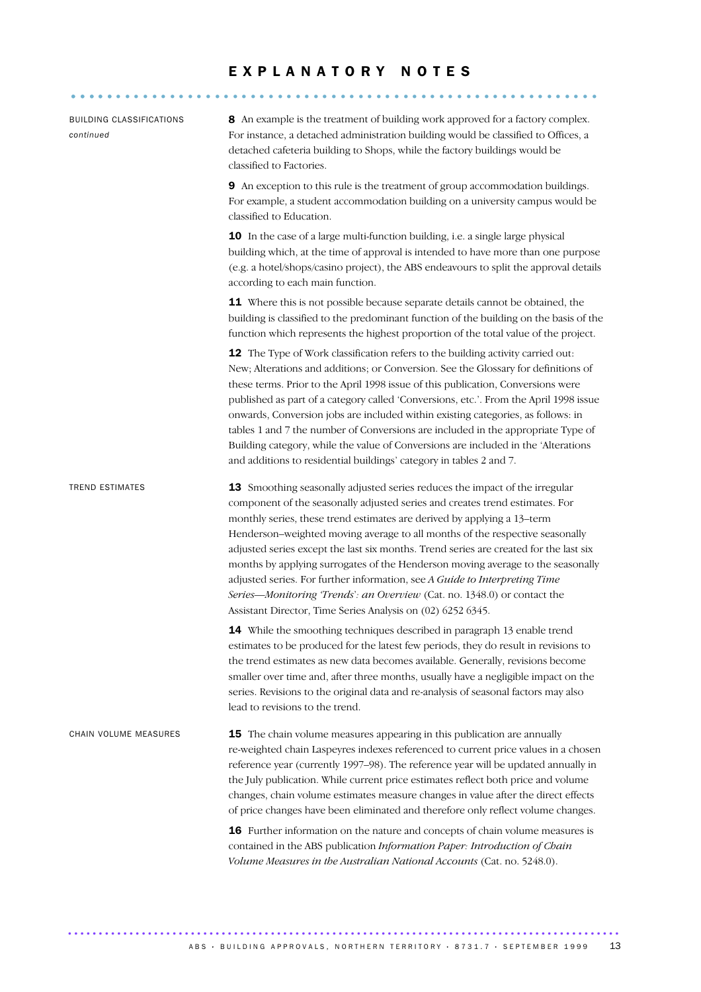### E X P L A N A T O R Y N O T E S

|                                              | <u>.</u>                                                                                                                                                                                                                                                                                                                                                                                                                                                                                                                                                                                                                                                                                                                    |
|----------------------------------------------|-----------------------------------------------------------------------------------------------------------------------------------------------------------------------------------------------------------------------------------------------------------------------------------------------------------------------------------------------------------------------------------------------------------------------------------------------------------------------------------------------------------------------------------------------------------------------------------------------------------------------------------------------------------------------------------------------------------------------------|
|                                              |                                                                                                                                                                                                                                                                                                                                                                                                                                                                                                                                                                                                                                                                                                                             |
| <b>BUILDING CLASSIFICATIONS</b><br>continued | 8 An example is the treatment of building work approved for a factory complex.<br>For instance, a detached administration building would be classified to Offices, a<br>detached cafeteria building to Shops, while the factory buildings would be<br>classified to Factories.                                                                                                                                                                                                                                                                                                                                                                                                                                              |
|                                              | 9 An exception to this rule is the treatment of group accommodation buildings.<br>For example, a student accommodation building on a university campus would be<br>classified to Education.                                                                                                                                                                                                                                                                                                                                                                                                                                                                                                                                 |
|                                              | 10 In the case of a large multi-function building, i.e. a single large physical<br>building which, at the time of approval is intended to have more than one purpose<br>(e.g. a hotel/shops/casino project), the ABS endeavours to split the approval details<br>according to each main function.                                                                                                                                                                                                                                                                                                                                                                                                                           |
|                                              | 11 Where this is not possible because separate details cannot be obtained, the<br>building is classified to the predominant function of the building on the basis of the<br>function which represents the highest proportion of the total value of the project.                                                                                                                                                                                                                                                                                                                                                                                                                                                             |
|                                              | 12 The Type of Work classification refers to the building activity carried out:<br>New; Alterations and additions; or Conversion. See the Glossary for definitions of<br>these terms. Prior to the April 1998 issue of this publication, Conversions were<br>published as part of a category called 'Conversions, etc.'. From the April 1998 issue<br>onwards, Conversion jobs are included within existing categories, as follows: in<br>tables 1 and 7 the number of Conversions are included in the appropriate Type of<br>Building category, while the value of Conversions are included in the 'Alterations<br>and additions to residential buildings' category in tables 2 and 7.                                     |
| <b>TREND ESTIMATES</b>                       | 13 Smoothing seasonally adjusted series reduces the impact of the irregular<br>component of the seasonally adjusted series and creates trend estimates. For<br>monthly series, these trend estimates are derived by applying a 13-term<br>Henderson-weighted moving average to all months of the respective seasonally<br>adjusted series except the last six months. Trend series are created for the last six<br>months by applying surrogates of the Henderson moving average to the seasonally<br>adjusted series. For further information, see A Guide to Interpreting Time<br>Series-Monitoring 'Trends': an Overview (Cat. no. 1348.0) or contact the<br>Assistant Director, Time Series Analysis on (02) 6252 6345. |
|                                              | 14 While the smoothing techniques described in paragraph 13 enable trend<br>estimates to be produced for the latest few periods, they do result in revisions to<br>the trend estimates as new data becomes available. Generally, revisions become<br>smaller over time and, after three months, usually have a negligible impact on the<br>series. Revisions to the original data and re-analysis of seasonal factors may also<br>lead to revisions to the trend.                                                                                                                                                                                                                                                           |
| CHAIN VOLUME MEASURES                        | <b>15</b> The chain volume measures appearing in this publication are annually<br>re-weighted chain Laspeyres indexes referenced to current price values in a chosen<br>reference year (currently 1997-98). The reference year will be updated annually in<br>the July publication. While current price estimates reflect both price and volume<br>changes, chain volume estimates measure changes in value after the direct effects<br>of price changes have been eliminated and therefore only reflect volume changes.                                                                                                                                                                                                    |
|                                              | 16 Further information on the nature and concepts of chain volume measures is<br>contained in the ABS publication Information Paper: Introduction of Chain<br>Volume Measures in the Australian National Accounts (Cat. no. 5248.0).                                                                                                                                                                                                                                                                                                                                                                                                                                                                                        |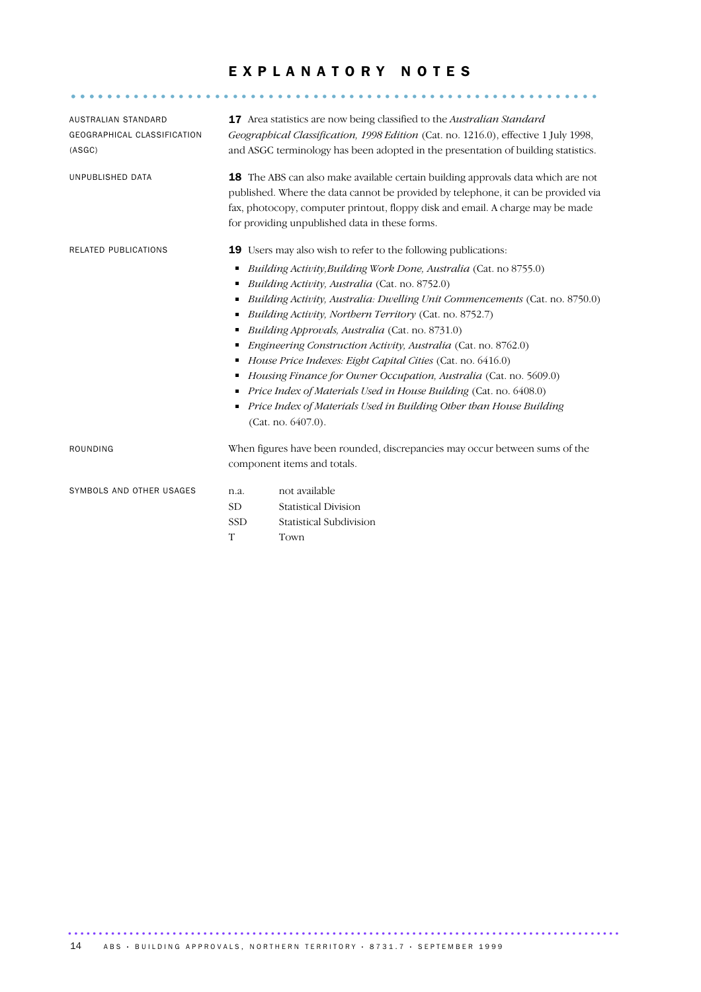#### EXPLANATORY NOTES

........................................................... .....

| AUSTRALIAN STANDARD<br>GEOGRAPHICAL CLASSIFICATION<br>(ASGC)                                                                                                                                                                                                                         | <b>17</b> Area statistics are now being classified to the Australian Standard<br>Geographical Classification, 1998 Edition (Cat. no. 1216.0), effective 1 July 1998,<br>and ASGC terminology has been adopted in the presentation of building statistics.                                                        |                                                                                                                                                                                                                                                                                                                                                                                                                                     |  |
|--------------------------------------------------------------------------------------------------------------------------------------------------------------------------------------------------------------------------------------------------------------------------------------|------------------------------------------------------------------------------------------------------------------------------------------------------------------------------------------------------------------------------------------------------------------------------------------------------------------|-------------------------------------------------------------------------------------------------------------------------------------------------------------------------------------------------------------------------------------------------------------------------------------------------------------------------------------------------------------------------------------------------------------------------------------|--|
| UNPUBLISHED DATA                                                                                                                                                                                                                                                                     | <b>18</b> The ABS can also make available certain building approvals data which are not<br>published. Where the data cannot be provided by telephone, it can be provided via<br>fax, photocopy, computer printout, floppy disk and email. A charge may be made<br>for providing unpublished data in these forms. |                                                                                                                                                                                                                                                                                                                                                                                                                                     |  |
| <b>RELATED PUBLICATIONS</b>                                                                                                                                                                                                                                                          |                                                                                                                                                                                                                                                                                                                  | <b>19</b> Users may also wish to refer to the following publications:                                                                                                                                                                                                                                                                                                                                                               |  |
| ٠<br>Building Activity, Australia (Cat. no. 8752.0)<br>٠<br>п<br>Building Activity, Northern Territory (Cat. no. 8752.7)<br>Building Approvals, Australia (Cat. no. 8731.0)<br>п<br>House Price Indexes: Eight Capital Cities (Cat. no. 6416.0)<br>٠<br>п<br>٠<br>(Cat. no. 6407.0). |                                                                                                                                                                                                                                                                                                                  | Building Activity, Building Work Done, Australia (Cat. no 8755.0)<br>Building Activity, Australia: Dwelling Unit Commencements (Cat. no. 8750.0)<br>Engineering Construction Activity, Australia (Cat. no. 8762.0)<br>Housing Finance for Owner Occupation, Australia (Cat. no. 5609.0)<br>Price Index of Materials Used in House Building (Cat. no. 6408.0)<br>Price Index of Materials Used in Building Other than House Building |  |
| <b>ROUNDING</b>                                                                                                                                                                                                                                                                      | When figures have been rounded, discrepancies may occur between sums of the<br>component items and totals.                                                                                                                                                                                                       |                                                                                                                                                                                                                                                                                                                                                                                                                                     |  |
| SYMBOLS AND OTHER USAGES                                                                                                                                                                                                                                                             | n.a.<br><b>SD</b><br><b>SSD</b>                                                                                                                                                                                                                                                                                  | not available<br><b>Statistical Division</b><br>Statistical Subdivision                                                                                                                                                                                                                                                                                                                                                             |  |

T Town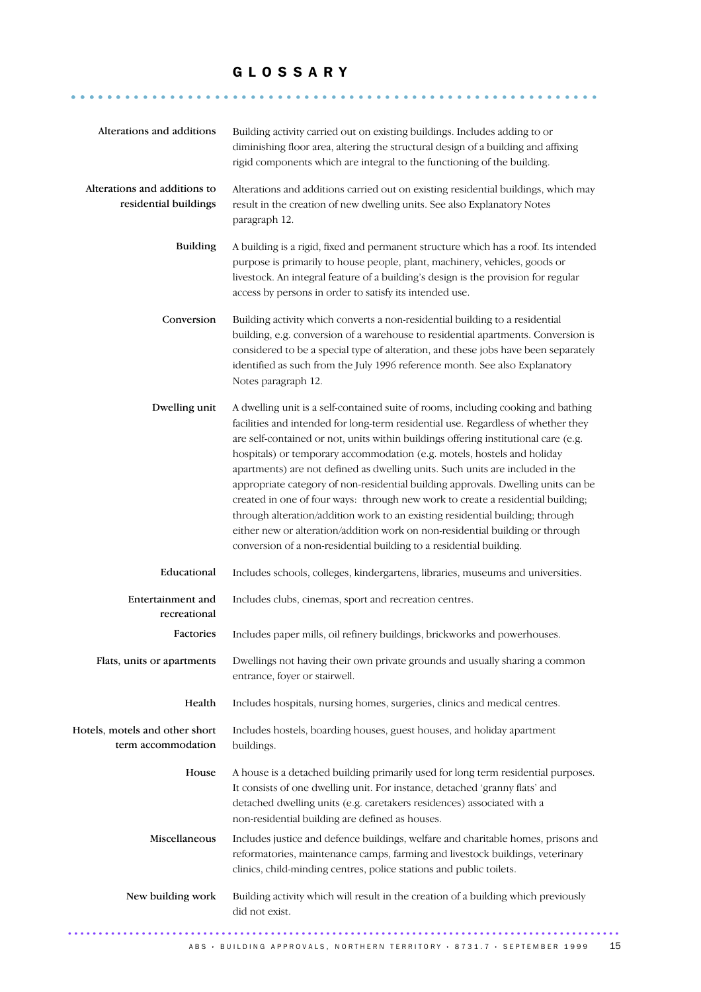#### G L O S S A R Y

........................................................... ......

| Alterations and additions                             | Building activity carried out on existing buildings. Includes adding to or<br>diminishing floor area, altering the structural design of a building and affixing<br>rigid components which are integral to the functioning of the building.                                                                                                                                                                                                                                                                                                                                                                                                                                                                                                                                                                                                 |
|-------------------------------------------------------|--------------------------------------------------------------------------------------------------------------------------------------------------------------------------------------------------------------------------------------------------------------------------------------------------------------------------------------------------------------------------------------------------------------------------------------------------------------------------------------------------------------------------------------------------------------------------------------------------------------------------------------------------------------------------------------------------------------------------------------------------------------------------------------------------------------------------------------------|
| Alterations and additions to<br>residential buildings | Alterations and additions carried out on existing residential buildings, which may<br>result in the creation of new dwelling units. See also Explanatory Notes<br>paragraph 12.                                                                                                                                                                                                                                                                                                                                                                                                                                                                                                                                                                                                                                                            |
| <b>Building</b>                                       | A building is a rigid, fixed and permanent structure which has a roof. Its intended<br>purpose is primarily to house people, plant, machinery, vehicles, goods or<br>livestock. An integral feature of a building's design is the provision for regular<br>access by persons in order to satisfy its intended use.                                                                                                                                                                                                                                                                                                                                                                                                                                                                                                                         |
| Conversion                                            | Building activity which converts a non-residential building to a residential<br>building, e.g. conversion of a warehouse to residential apartments. Conversion is<br>considered to be a special type of alteration, and these jobs have been separately<br>identified as such from the July 1996 reference month. See also Explanatory<br>Notes paragraph 12.                                                                                                                                                                                                                                                                                                                                                                                                                                                                              |
| Dwelling unit                                         | A dwelling unit is a self-contained suite of rooms, including cooking and bathing<br>facilities and intended for long-term residential use. Regardless of whether they<br>are self-contained or not, units within buildings offering institutional care (e.g.<br>hospitals) or temporary accommodation (e.g. motels, hostels and holiday<br>apartments) are not defined as dwelling units. Such units are included in the<br>appropriate category of non-residential building approvals. Dwelling units can be<br>created in one of four ways: through new work to create a residential building;<br>through alteration/addition work to an existing residential building; through<br>either new or alteration/addition work on non-residential building or through<br>conversion of a non-residential building to a residential building. |
| Educational                                           | Includes schools, colleges, kindergartens, libraries, museums and universities.                                                                                                                                                                                                                                                                                                                                                                                                                                                                                                                                                                                                                                                                                                                                                            |
| Entertainment and<br>recreational                     | Includes clubs, cinemas, sport and recreation centres.                                                                                                                                                                                                                                                                                                                                                                                                                                                                                                                                                                                                                                                                                                                                                                                     |
| Factories                                             | Includes paper mills, oil refinery buildings, brickworks and powerhouses.                                                                                                                                                                                                                                                                                                                                                                                                                                                                                                                                                                                                                                                                                                                                                                  |
| Flats, units or apartments                            | Dwellings not having their own private grounds and usually sharing a common<br>entrance, foyer or stairwell.                                                                                                                                                                                                                                                                                                                                                                                                                                                                                                                                                                                                                                                                                                                               |
| Health                                                | Includes hospitals, nursing homes, surgeries, clinics and medical centres.                                                                                                                                                                                                                                                                                                                                                                                                                                                                                                                                                                                                                                                                                                                                                                 |
| Hotels, motels and other short<br>term accommodation  | Includes hostels, boarding houses, guest houses, and holiday apartment<br>buildings.                                                                                                                                                                                                                                                                                                                                                                                                                                                                                                                                                                                                                                                                                                                                                       |
| House                                                 | A house is a detached building primarily used for long term residential purposes.<br>It consists of one dwelling unit. For instance, detached 'granny flats' and<br>detached dwelling units (e.g. caretakers residences) associated with a<br>non-residential building are defined as houses.                                                                                                                                                                                                                                                                                                                                                                                                                                                                                                                                              |
| Miscellaneous                                         | Includes justice and defence buildings, welfare and charitable homes, prisons and<br>reformatories, maintenance camps, farming and livestock buildings, veterinary<br>clinics, child-minding centres, police stations and public toilets.                                                                                                                                                                                                                                                                                                                                                                                                                                                                                                                                                                                                  |
| New building work                                     | Building activity which will result in the creation of a building which previously<br>did not exist.                                                                                                                                                                                                                                                                                                                                                                                                                                                                                                                                                                                                                                                                                                                                       |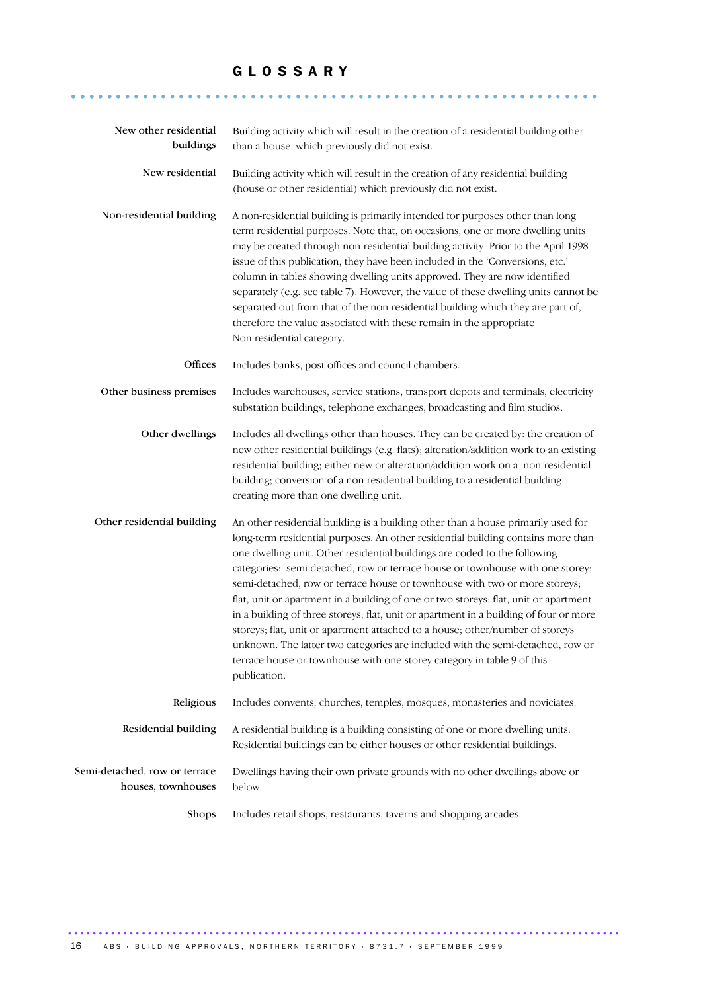#### G L O S S A R Y

........................................................... ......

| New other residential<br>buildings                  | Building activity which will result in the creation of a residential building other<br>than a house, which previously did not exist.                                                                                                                                                                                                                                                                                                                                                                                                                                                                                                                                                                                                                                                                                                                            |
|-----------------------------------------------------|-----------------------------------------------------------------------------------------------------------------------------------------------------------------------------------------------------------------------------------------------------------------------------------------------------------------------------------------------------------------------------------------------------------------------------------------------------------------------------------------------------------------------------------------------------------------------------------------------------------------------------------------------------------------------------------------------------------------------------------------------------------------------------------------------------------------------------------------------------------------|
| New residential                                     | Building activity which will result in the creation of any residential building<br>(house or other residential) which previously did not exist.                                                                                                                                                                                                                                                                                                                                                                                                                                                                                                                                                                                                                                                                                                                 |
| Non-residential building                            | A non-residential building is primarily intended for purposes other than long<br>term residential purposes. Note that, on occasions, one or more dwelling units<br>may be created through non-residential building activity. Prior to the April 1998<br>issue of this publication, they have been included in the 'Conversions, etc.'<br>column in tables showing dwelling units approved. They are now identified<br>separately (e.g. see table 7). However, the value of these dwelling units cannot be<br>separated out from that of the non-residential building which they are part of,<br>therefore the value associated with these remain in the appropriate<br>Non-residential category.                                                                                                                                                                |
| Offices                                             | Includes banks, post offices and council chambers.                                                                                                                                                                                                                                                                                                                                                                                                                                                                                                                                                                                                                                                                                                                                                                                                              |
| Other business premises                             | Includes warehouses, service stations, transport depots and terminals, electricity<br>substation buildings, telephone exchanges, broadcasting and film studios.                                                                                                                                                                                                                                                                                                                                                                                                                                                                                                                                                                                                                                                                                                 |
| Other dwellings                                     | Includes all dwellings other than houses. They can be created by: the creation of<br>new other residential buildings (e.g. flats); alteration/addition work to an existing<br>residential building; either new or alteration/addition work on a non-residential<br>building; conversion of a non-residential building to a residential building<br>creating more than one dwelling unit.                                                                                                                                                                                                                                                                                                                                                                                                                                                                        |
| Other residential building                          | An other residential building is a building other than a house primarily used for<br>long-term residential purposes. An other residential building contains more than<br>one dwelling unit. Other residential buildings are coded to the following<br>categories: semi-detached, row or terrace house or townhouse with one storey;<br>semi-detached, row or terrace house or townhouse with two or more storeys;<br>flat, unit or apartment in a building of one or two storeys; flat, unit or apartment<br>in a building of three storeys; flat, unit or apartment in a building of four or more<br>storeys; flat, unit or apartment attached to a house; other/number of storeys<br>unknown. The latter two categories are included with the semi-detached, row or<br>terrace house or townhouse with one storey category in table 9 of this<br>publication. |
| Religious                                           | Includes convents, churches, temples, mosques, monasteries and noviciates.                                                                                                                                                                                                                                                                                                                                                                                                                                                                                                                                                                                                                                                                                                                                                                                      |
| Residential building                                | A residential building is a building consisting of one or more dwelling units.<br>Residential buildings can be either houses or other residential buildings.                                                                                                                                                                                                                                                                                                                                                                                                                                                                                                                                                                                                                                                                                                    |
| Semi-detached, row or terrace<br>houses, townhouses | Dwellings having their own private grounds with no other dwellings above or<br>below.                                                                                                                                                                                                                                                                                                                                                                                                                                                                                                                                                                                                                                                                                                                                                                           |
| Shops                                               | Includes retail shops, restaurants, taverns and shopping arcades.                                                                                                                                                                                                                                                                                                                                                                                                                                                                                                                                                                                                                                                                                                                                                                                               |